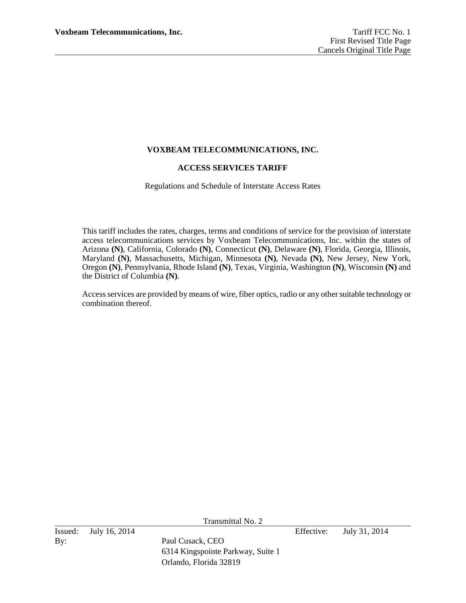# **VOXBEAM TELECOMMUNICATIONS, INC.**

### **ACCESS SERVICES TARIFF**

Regulations and Schedule of Interstate Access Rates

This tariff includes the rates, charges, terms and conditions of service for the provision of interstate access telecommunications services by Voxbeam Telecommunications, Inc. within the states of Arizona **(N)**, California, Colorado **(N)**, Connecticut **(N)**, Delaware **(N)**, Florida, Georgia, Illinois, Maryland **(N)**, Massachusetts, Michigan, Minnesota **(N)**, Nevada **(N)**, New Jersey, New York, Oregon **(N)**, Pennsylvania, Rhode Island **(N)**, Texas, Virginia, Washington **(N)**, Wisconsin **(N)** and the District of Columbia **(N)**.

Access services are provided by means of wire, fiber optics, radio or any other suitable technology or combination thereof.

Transmittal No. 2

By: Paul Cusack, CEO

Issued: July 16, 2014 Effective: July 31, 2014

6314 Kingspointe Parkway, Suite 1 Orlando, Florida 32819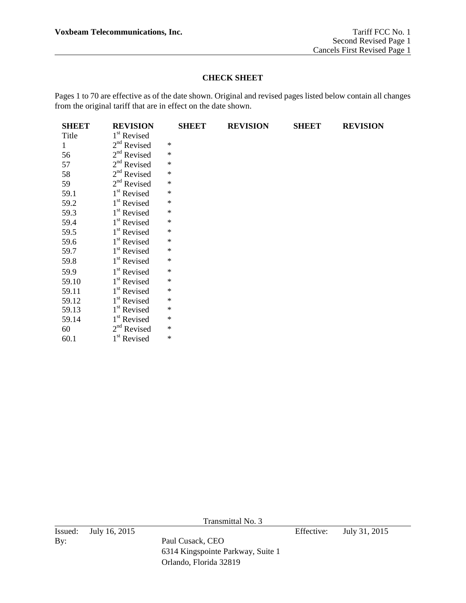# **CHECK SHEET**

Pages 1 to 70 are effective as of the date shown. Original and revised pages listed below contain all changes from the original tariff that are in effect on the date shown.

| <b>SHEET</b> | <b>REVISION</b>         | <b>SHEET</b> | <b>REVISION</b> | <b>SHEET</b> | <b>REVISION</b> |
|--------------|-------------------------|--------------|-----------------|--------------|-----------------|
| Title        | 1 <sup>st</sup> Revised |              |                 |              |                 |
| $\mathbf{1}$ | $2nd$ Revised           | $\ast$       |                 |              |                 |
| 56           | $2nd$ Revised           | $\ast$       |                 |              |                 |
| 57           | $2nd$ Revised           | $\ast$       |                 |              |                 |
| 58           | $2nd$ Revised           | $\ast$       |                 |              |                 |
| 59           | $2nd$ Revised           | $\ast$       |                 |              |                 |
| 59.1         | 1 <sup>st</sup> Revised | $\ast$       |                 |              |                 |
| 59.2         | $1st$ Revised           | $\ast$       |                 |              |                 |
| 59.3         | 1 <sup>st</sup> Revised | $\ast$       |                 |              |                 |
| 59.4         | 1 <sup>st</sup> Revised | ∗            |                 |              |                 |
| 59.5         | 1 <sup>st</sup> Revised | $\ast$       |                 |              |                 |
| 59.6         | 1 <sup>st</sup> Revised | $\ast$       |                 |              |                 |
| 59.7         | 1 <sup>st</sup> Revised | $\ast$       |                 |              |                 |
| 59.8         | 1 <sup>st</sup> Revised | $\ast$       |                 |              |                 |
| 59.9         | 1 <sup>st</sup> Revised | $\ast$       |                 |              |                 |
| 59.10        | 1 <sup>st</sup> Revised | $\ast$       |                 |              |                 |
| 59.11        | 1 <sup>st</sup> Revised | $\ast$       |                 |              |                 |
| 59.12        | 1 <sup>st</sup> Revised | $\ast$       |                 |              |                 |
| 59.13        | 1 <sup>st</sup> Revised | ∗            |                 |              |                 |
| 59.14        | 1 <sup>st</sup> Revised | $\ast$       |                 |              |                 |
| 60           | $2nd$ Revised           | $\ast$       |                 |              |                 |
| 60.1         | 1 <sup>st</sup> Revised | $\ast$       |                 |              |                 |

Transmittal No. 3

By: Paul Cusack, CEO

6314 Kingspointe Parkway, Suite 1 Orlando, Florida 32819

Issued: July 16, 2015 Effective: July 31, 2015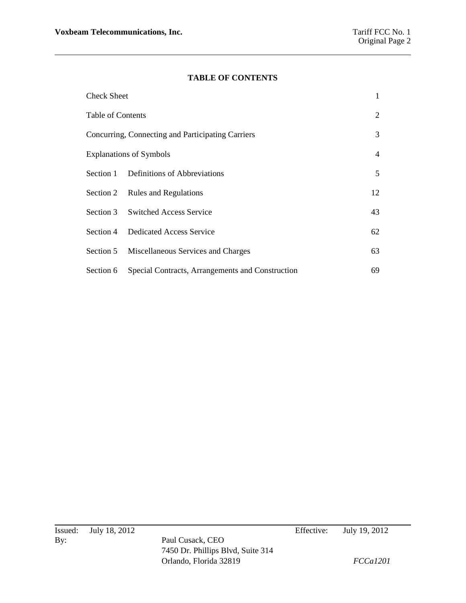# **TABLE OF CONTENTS**

| <b>Check Sheet</b>                                |                                                  | 1  |
|---------------------------------------------------|--------------------------------------------------|----|
| Table of Contents                                 |                                                  |    |
| Concurring, Connecting and Participating Carriers |                                                  |    |
| <b>Explanations of Symbols</b>                    |                                                  |    |
| Section 1                                         | Definitions of Abbreviations                     | 5  |
| Section 2                                         | <b>Rules and Regulations</b>                     | 12 |
|                                                   | Section 3 Switched Access Service                | 43 |
|                                                   | Section 4 Dedicated Access Service               | 62 |
| Section 5                                         | Miscellaneous Services and Charges               | 63 |
| Section 6                                         | Special Contracts, Arrangements and Construction | 69 |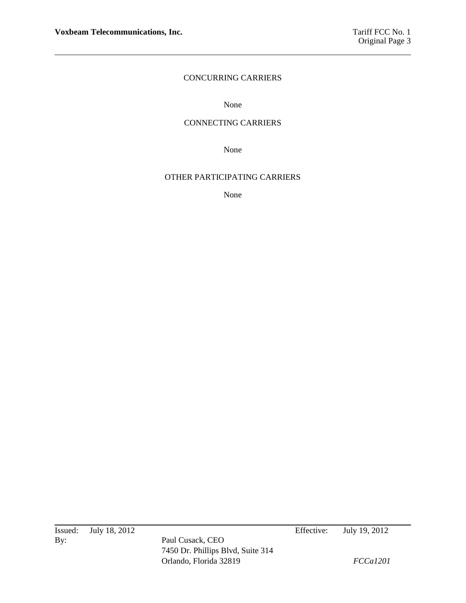# CONCURRING CARRIERS

None

# CONNECTING CARRIERS

None

### OTHER PARTICIPATING CARRIERS

None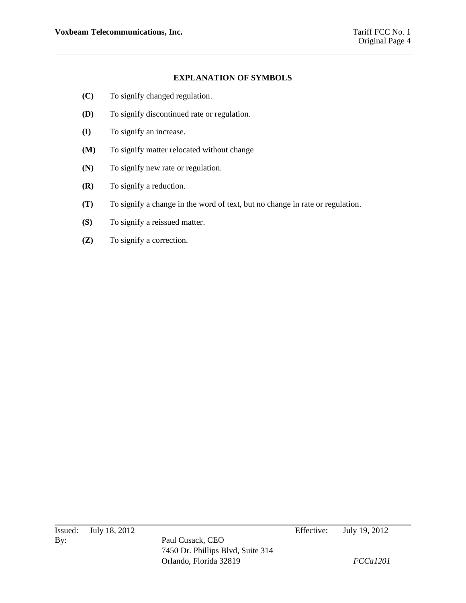# **EXPLANATION OF SYMBOLS**

- **(C)** To signify changed regulation.
- **(D)** To signify discontinued rate or regulation.
- **(I)** To signify an increase.
- **(M)** To signify matter relocated without change
- **(N)** To signify new rate or regulation.
- **(R)** To signify a reduction.
- **(T)** To signify a change in the word of text, but no change in rate or regulation.
- **(S)** To signify a reissued matter.
- **(Z)** To signify a correction.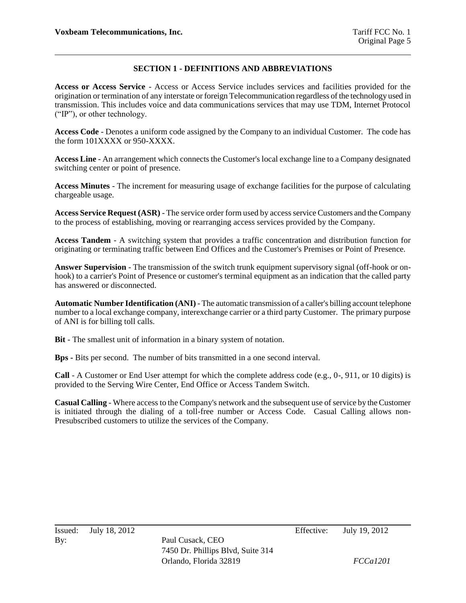# **SECTION 1 - DEFINITIONS AND ABBREVIATIONS**

**Access or Access Service** - Access or Access Service includes services and facilities provided for the origination or termination of any interstate or foreign Telecommunication regardless of the technology used in transmission. This includes voice and data communications services that may use TDM, Internet Protocol ("IP"), or other technology.

**Access Code** - Denotes a uniform code assigned by the Company to an individual Customer. The code has the form 101XXXX or 950-XXXX.

**Access Line** - An arrangement which connects the Customer's local exchange line to a Company designated switching center or point of presence.

**Access Minutes** - The increment for measuring usage of exchange facilities for the purpose of calculating chargeable usage.

**Access Service Request (ASR)** - The service order form used by access service Customers and the Company to the process of establishing, moving or rearranging access services provided by the Company.

**Access Tandem** - A switching system that provides a traffic concentration and distribution function for originating or terminating traffic between End Offices and the Customer's Premises or Point of Presence.

**Answer Supervision** - The transmission of the switch trunk equipment supervisory signal (off-hook or onhook) to a carrier's Point of Presence or customer's terminal equipment as an indication that the called party has answered or disconnected.

**Automatic Number Identification (ANI)** - The automatic transmission of a caller's billing account telephone number to a local exchange company, interexchange carrier or a third party Customer. The primary purpose of ANI is for billing toll calls.

**Bit** - The smallest unit of information in a binary system of notation.

**Bps -** Bits per second. The number of bits transmitted in a one second interval.

**Call** - A Customer or End User attempt for which the complete address code (e.g., 0-, 911, or 10 digits) is provided to the Serving Wire Center, End Office or Access Tandem Switch.

**Casual Calling** - Where access to the Company's network and the subsequent use of service by the Customer is initiated through the dialing of a toll-free number or Access Code. Casual Calling allows non-Presubscribed customers to utilize the services of the Company.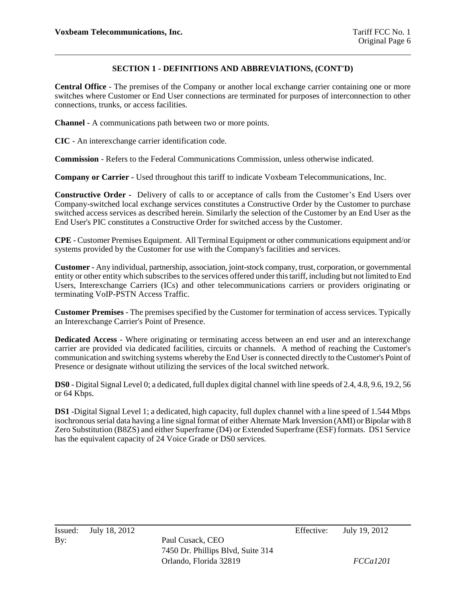**Central Office** - The premises of the Company or another local exchange carrier containing one or more switches where Customer or End User connections are terminated for purposes of interconnection to other connections, trunks, or access facilities.

**Channel** - A communications path between two or more points.

**CIC** - An interexchange carrier identification code.

**Commission** - Refers to the Federal Communications Commission, unless otherwise indicated.

**Company or Carrier -** Used throughout this tariff to indicate Voxbeam Telecommunications, Inc.

**Constructive Order -** Delivery of calls to or acceptance of calls from the Customer's End Users over Company-switched local exchange services constitutes a Constructive Order by the Customer to purchase switched access services as described herein. Similarly the selection of the Customer by an End User as the End User's PIC constitutes a Constructive Order for switched access by the Customer.

**CPE** - Customer Premises Equipment. All Terminal Equipment or other communications equipment and/or systems provided by the Customer for use with the Company's facilities and services.

**Customer -** Any individual, partnership, association, joint-stock company, trust, corporation, or governmental entity or other entity which subscribes to the services offered under this tariff, including but not limited to End Users, Interexchange Carriers (ICs) and other telecommunications carriers or providers originating or terminating VoIP-PSTN Access Traffic.

**Customer Premises** - The premises specified by the Customer for termination of access services. Typically an Interexchange Carrier's Point of Presence.

**Dedicated Access** - Where originating or terminating access between an end user and an interexchange carrier are provided via dedicated facilities, circuits or channels. A method of reaching the Customer's communication and switching systems whereby the End User is connected directly to the Customer's Point of Presence or designate without utilizing the services of the local switched network.

**DS0** - Digital Signal Level 0; a dedicated, full duplex digital channel with line speeds of 2.4, 4.8, 9.6, 19.2, 56 or 64 Kbps.

**DS1** -Digital Signal Level 1; a dedicated, high capacity, full duplex channel with a line speed of 1.544 Mbps isochronous serial data having a line signal format of either Alternate Mark Inversion (AMI) or Bipolar with 8 Zero Substitution (B8ZS) and either Superframe (D4) or Extended Superframe (ESF) formats. DS1 Service has the equivalent capacity of 24 Voice Grade or DS0 services.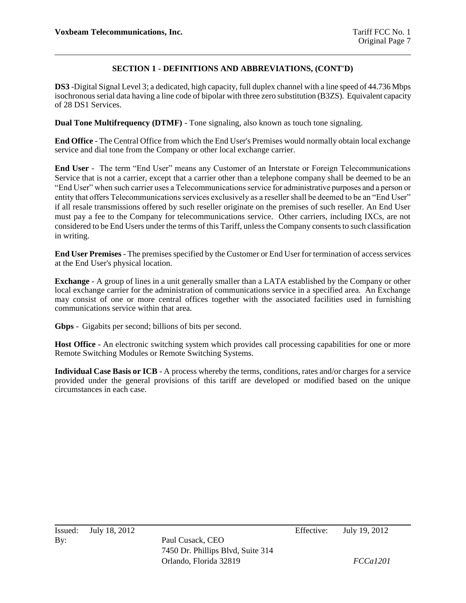**DS3** -Digital Signal Level 3; a dedicated, high capacity, full duplex channel with a line speed of 44.736 Mbps isochronous serial data having a line code of bipolar with three zero substitution (B3ZS). Equivalent capacity of 28 DS1 Services.

**Dual Tone Multifrequency (DTMF)** - Tone signaling, also known as touch tone signaling.

**End Office** - The Central Office from which the End User's Premises would normally obtain local exchange service and dial tone from the Company or other local exchange carrier.

**End User** - The term "End User" means any Customer of an Interstate or Foreign Telecommunications Service that is not a carrier, except that a carrier other than a telephone company shall be deemed to be an "End User" when such carrier uses a Telecommunications service for administrative purposes and a person or entity that offers Telecommunications services exclusively as a reseller shall be deemed to be an "End User" if all resale transmissions offered by such reseller originate on the premises of such reseller. An End User must pay a fee to the Company for telecommunications service. Other carriers, including IXCs, are not considered to be End Users under the terms of this Tariff, unless the Company consents to such classification in writing.

**End User Premises** - The premises specified by the Customer or End User for termination of access services at the End User's physical location.

**Exchange** - A group of lines in a unit generally smaller than a LATA established by the Company or other local exchange carrier for the administration of communications service in a specified area. An Exchange may consist of one or more central offices together with the associated facilities used in furnishing communications service within that area.

**Gbps** - Gigabits per second; billions of bits per second.

**Host Office** - An electronic switching system which provides call processing capabilities for one or more Remote Switching Modules or Remote Switching Systems.

**Individual Case Basis or ICB** - A process whereby the terms, conditions, rates and/or charges for a service provided under the general provisions of this tariff are developed or modified based on the unique circumstances in each case.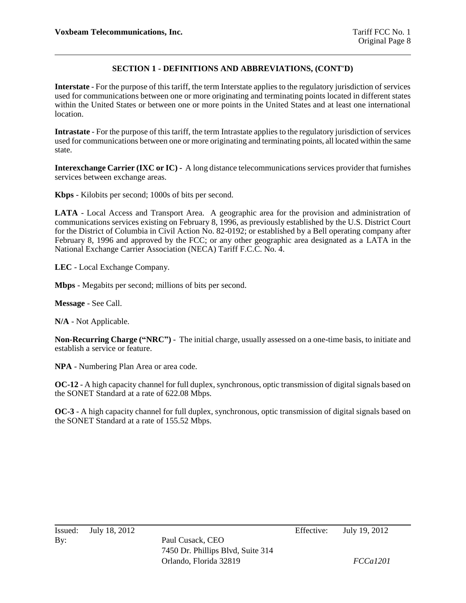**Interstate** - For the purpose of this tariff, the term Interstate applies to the regulatory jurisdiction of services used for communications between one or more originating and terminating points located in different states within the United States or between one or more points in the United States and at least one international location.

**Intrastate** - For the purpose of this tariff, the term Intrastate applies to the regulatory jurisdiction of services used for communications between one or more originating and terminating points, all located within the same state.

**Interexchange Carrier (IXC or IC) -** A long distance telecommunications services provider that furnishes services between exchange areas.

**Kbps** - Kilobits per second; 1000s of bits per second.

**LATA** - Local Access and Transport Area. A geographic area for the provision and administration of communications services existing on February 8, 1996, as previously established by the U.S. District Court for the District of Columbia in Civil Action No. 82-0192; or established by a Bell operating company after February 8, 1996 and approved by the FCC; or any other geographic area designated as a LATA in the National Exchange Carrier Association (NECA) Tariff F.C.C. No. 4.

**LEC** - Local Exchange Company.

**Mbps** - Megabits per second; millions of bits per second.

**Message** - See Call.

**N/A** - Not Applicable.

**Non-Recurring Charge ("NRC")** - The initial charge, usually assessed on a one-time basis, to initiate and establish a service or feature.

**NPA** - Numbering Plan Area or area code.

**OC-12** - A high capacity channel for full duplex, synchronous, optic transmission of digital signals based on the SONET Standard at a rate of 622.08 Mbps.

**OC-3** - A high capacity channel for full duplex, synchronous, optic transmission of digital signals based on the SONET Standard at a rate of 155.52 Mbps.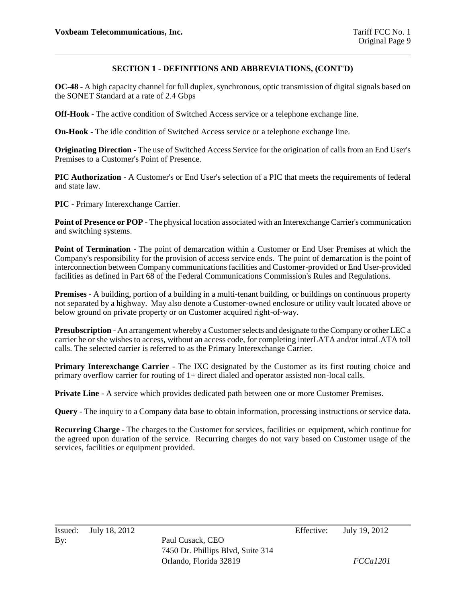**OC-48** - A high capacity channel for full duplex, synchronous, optic transmission of digital signals based on the SONET Standard at a rate of 2.4 Gbps

**Off-Hook** - The active condition of Switched Access service or a telephone exchange line.

**On-Hook** - The idle condition of Switched Access service or a telephone exchange line.

**Originating Direction** - The use of Switched Access Service for the origination of calls from an End User's Premises to a Customer's Point of Presence.

**PIC Authorization** - A Customer's or End User's selection of a PIC that meets the requirements of federal and state law.

**PIC** - Primary Interexchange Carrier.

**Point of Presence or POP** - The physical location associated with an Interexchange Carrier's communication and switching systems.

**Point of Termination** - The point of demarcation within a Customer or End User Premises at which the Company's responsibility for the provision of access service ends. The point of demarcation is the point of interconnection between Company communications facilities and Customer-provided or End User-provided facilities as defined in Part 68 of the Federal Communications Commission's Rules and Regulations.

**Premises** - A building, portion of a building in a multi-tenant building, or buildings on continuous property not separated by a highway. May also denote a Customer-owned enclosure or utility vault located above or below ground on private property or on Customer acquired right-of-way.

**Presubscription** - An arrangement whereby a Customer selects and designate to the Company or other LEC a carrier he or she wishes to access, without an access code, for completing interLATA and/or intraLATA toll calls. The selected carrier is referred to as the Primary Interexchange Carrier.

**Primary Interexchange Carrier** - The IXC designated by the Customer as its first routing choice and primary overflow carrier for routing of 1+ direct dialed and operator assisted non-local calls.

**Private Line** - A service which provides dedicated path between one or more Customer Premises.

**Query** - The inquiry to a Company data base to obtain information, processing instructions or service data.

**Recurring Charge** - The charges to the Customer for services, facilities or equipment, which continue for the agreed upon duration of the service. Recurring charges do not vary based on Customer usage of the services, facilities or equipment provided.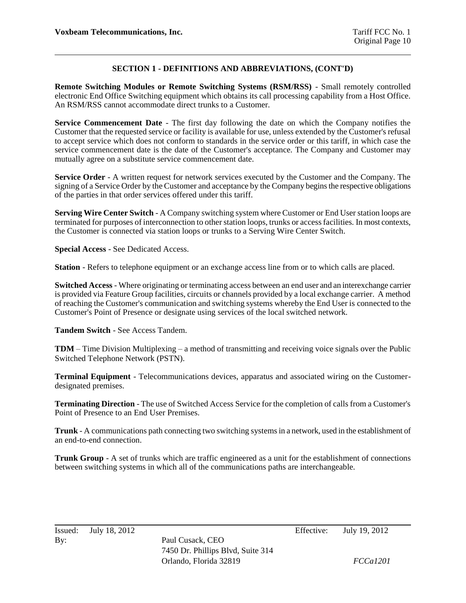**Remote Switching Modules or Remote Switching Systems (RSM/RSS)** - Small remotely controlled electronic End Office Switching equipment which obtains its call processing capability from a Host Office. An RSM/RSS cannot accommodate direct trunks to a Customer.

**Service Commencement Date** - The first day following the date on which the Company notifies the Customer that the requested service or facility is available for use, unless extended by the Customer's refusal to accept service which does not conform to standards in the service order or this tariff, in which case the service commencement date is the date of the Customer's acceptance. The Company and Customer may mutually agree on a substitute service commencement date.

**Service Order** - A written request for network services executed by the Customer and the Company. The signing of a Service Order by the Customer and acceptance by the Company begins the respective obligations of the parties in that order services offered under this tariff.

**Serving Wire Center Switch** - A Company switching system where Customer or End User station loops are terminated for purposes of interconnection to other station loops, trunks or access facilities. In most contexts, the Customer is connected via station loops or trunks to a Serving Wire Center Switch.

**Special Access** - See Dedicated Access.

**Station** - Refers to telephone equipment or an exchange access line from or to which calls are placed.

**Switched Access** - Where originating or terminating access between an end user and an interexchange carrier is provided via Feature Group facilities, circuits or channels provided by a local exchange carrier. A method of reaching the Customer's communication and switching systems whereby the End User is connected to the Customer's Point of Presence or designate using services of the local switched network.

**Tandem Switch** - See Access Tandem.

**TDM** – Time Division Multiplexing – a method of transmitting and receiving voice signals over the Public Switched Telephone Network (PSTN).

**Terminal Equipment** - Telecommunications devices, apparatus and associated wiring on the Customerdesignated premises.

**Terminating Direction** - The use of Switched Access Service for the completion of calls from a Customer's Point of Presence to an End User Premises.

**Trunk** - A communications path connecting two switching systems in a network, used in the establishment of an end-to-end connection.

**Trunk Group** - A set of trunks which are traffic engineered as a unit for the establishment of connections between switching systems in which all of the communications paths are interchangeable.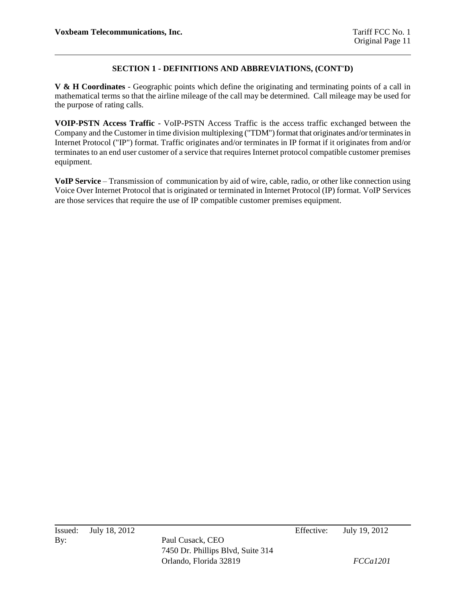**V & H Coordinates** - Geographic points which define the originating and terminating points of a call in mathematical terms so that the airline mileage of the call may be determined. Call mileage may be used for the purpose of rating calls.

**VOIP-PSTN Access Traffic** - VoIP-PSTN Access Traffic is the access traffic exchanged between the Company and the Customer in time division multiplexing ("TDM") format that originates and/or terminates in Internet Protocol ("IP") format. Traffic originates and/or terminates in IP format if it originates from and/or terminates to an end user customer of a service that requires Internet protocol compatible customer premises equipment.

**VoIP Service** – Transmission of communication by aid of wire, cable, radio, or other like connection using Voice Over Internet Protocol that is originated or terminated in Internet Protocol (IP) format. VoIP Services are those services that require the use of IP compatible customer premises equipment.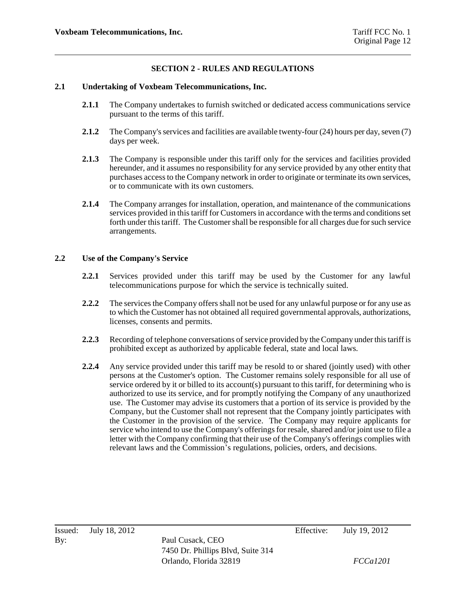## **SECTION 2 - RULES AND REGULATIONS**

#### **2.1 Undertaking of Voxbeam Telecommunications, Inc.**

- **2.1.1** The Company undertakes to furnish switched or dedicated access communications service pursuant to the terms of this tariff.
- **2.1.2** The Company's services and facilities are available twenty-four (24) hours per day, seven (7) days per week.
- **2.1.3** The Company is responsible under this tariff only for the services and facilities provided hereunder, and it assumes no responsibility for any service provided by any other entity that purchases access to the Company network in order to originate or terminate its own services, or to communicate with its own customers.
- **2.1.4** The Company arranges for installation, operation, and maintenance of the communications services provided in this tariff for Customers in accordance with the terms and conditions set forth under this tariff. The Customer shall be responsible for all charges due for such service arrangements.

#### **2.2 Use of the Company's Service**

- **2.2.1** Services provided under this tariff may be used by the Customer for any lawful telecommunications purpose for which the service is technically suited.
- **2.2.2** The services the Company offers shall not be used for any unlawful purpose or for any use as to which the Customer has not obtained all required governmental approvals, authorizations, licenses, consents and permits.
- **2.2.3** Recording of telephone conversations of service provided by the Company under this tariff is prohibited except as authorized by applicable federal, state and local laws.
- **2.2.4** Any service provided under this tariff may be resold to or shared (jointly used) with other persons at the Customer's option. The Customer remains solely responsible for all use of service ordered by it or billed to its account(s) pursuant to this tariff, for determining who is authorized to use its service, and for promptly notifying the Company of any unauthorized use. The Customer may advise its customers that a portion of its service is provided by the Company, but the Customer shall not represent that the Company jointly participates with the Customer in the provision of the service. The Company may require applicants for service who intend to use the Company's offerings for resale, shared and/or joint use to file a letter with the Company confirming that their use of the Company's offerings complies with relevant laws and the Commission's regulations, policies, orders, and decisions.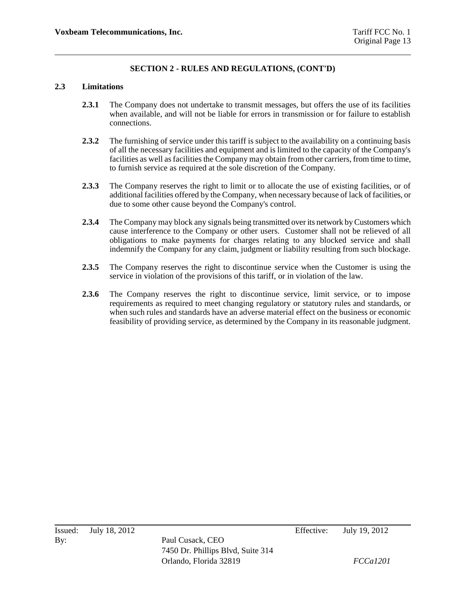#### **2.3 Limitations**

- **2.3.1** The Company does not undertake to transmit messages, but offers the use of its facilities when available, and will not be liable for errors in transmission or for failure to establish connections.
- **2.3.2** The furnishing of service under this tariff is subject to the availability on a continuing basis of all the necessary facilities and equipment and is limited to the capacity of the Company's facilities as well as facilities the Company may obtain from other carriers, from time to time, to furnish service as required at the sole discretion of the Company.
- **2.3.3** The Company reserves the right to limit or to allocate the use of existing facilities, or of additional facilities offered by the Company, when necessary because of lack of facilities, or due to some other cause beyond the Company's control.
- **2.3.4** The Company may block any signals being transmitted over its network by Customers which cause interference to the Company or other users. Customer shall not be relieved of all obligations to make payments for charges relating to any blocked service and shall indemnify the Company for any claim, judgment or liability resulting from such blockage.
- **2.3.5** The Company reserves the right to discontinue service when the Customer is using the service in violation of the provisions of this tariff, or in violation of the law.
- 2.3.6 The Company reserves the right to discontinue service, limit service, or to impose requirements as required to meet changing regulatory or statutory rules and standards, or when such rules and standards have an adverse material effect on the business or economic feasibility of providing service, as determined by the Company in its reasonable judgment.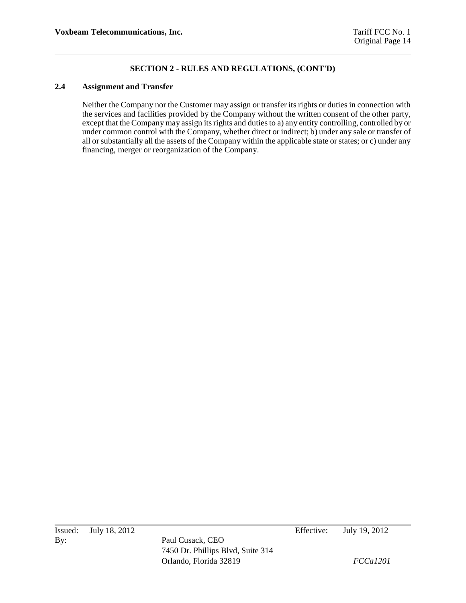### **2.4 Assignment and Transfer**

Neither the Company nor the Customer may assign or transfer its rights or duties in connection with the services and facilities provided by the Company without the written consent of the other party, except that the Company may assign its rights and duties to a) any entity controlling, controlled by or under common control with the Company, whether direct or indirect; b) under any sale or transfer of all or substantially all the assets of the Company within the applicable state or states; or c) under any financing, merger or reorganization of the Company.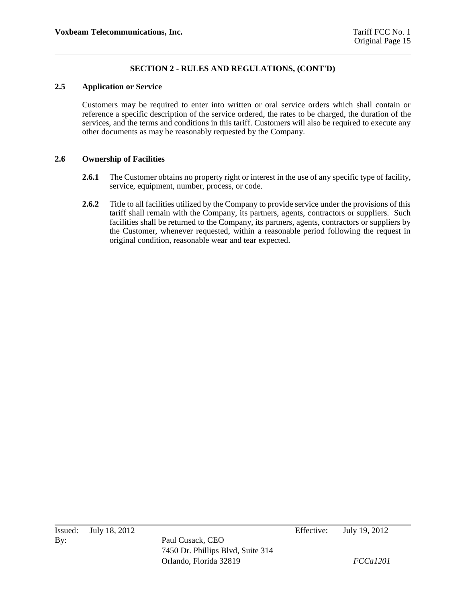### **2.5 Application or Service**

Customers may be required to enter into written or oral service orders which shall contain or reference a specific description of the service ordered, the rates to be charged, the duration of the services, and the terms and conditions in this tariff. Customers will also be required to execute any other documents as may be reasonably requested by the Company.

#### **2.6 Ownership of Facilities**

- **2.6.1** The Customer obtains no property right or interest in the use of any specific type of facility, service, equipment, number, process, or code.
- **2.6.2** Title to all facilities utilized by the Company to provide service under the provisions of this tariff shall remain with the Company, its partners, agents, contractors or suppliers. Such facilities shall be returned to the Company, its partners, agents, contractors or suppliers by the Customer, whenever requested, within a reasonable period following the request in original condition, reasonable wear and tear expected.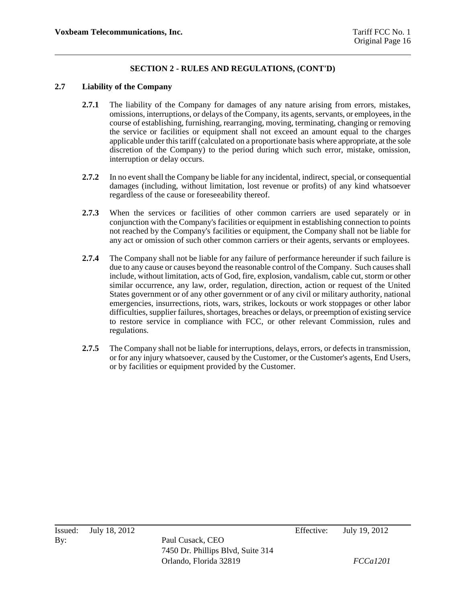### **2.7 Liability of the Company**

- **2.7.1** The liability of the Company for damages of any nature arising from errors, mistakes, omissions, interruptions, or delays of the Company, its agents, servants, or employees, in the course of establishing, furnishing, rearranging, moving, terminating, changing or removing the service or facilities or equipment shall not exceed an amount equal to the charges applicable under this tariff (calculated on a proportionate basis where appropriate, at the sole discretion of the Company) to the period during which such error, mistake, omission, interruption or delay occurs.
- **2.7.2** In no event shall the Company be liable for any incidental, indirect, special, or consequential damages (including, without limitation, lost revenue or profits) of any kind whatsoever regardless of the cause or foreseeability thereof.
- **2.7.3** When the services or facilities of other common carriers are used separately or in conjunction with the Company's facilities or equipment in establishing connection to points not reached by the Company's facilities or equipment, the Company shall not be liable for any act or omission of such other common carriers or their agents, servants or employees.
- **2.7.4** The Company shall not be liable for any failure of performance hereunder if such failure is due to any cause or causes beyond the reasonable control of the Company. Such causes shall include, without limitation, acts of God, fire, explosion, vandalism, cable cut, storm or other similar occurrence, any law, order, regulation, direction, action or request of the United States government or of any other government or of any civil or military authority, national emergencies, insurrections, riots, wars, strikes, lockouts or work stoppages or other labor difficulties, supplier failures, shortages, breaches or delays, or preemption of existing service to restore service in compliance with FCC, or other relevant Commission, rules and regulations.
- **2.7.5** The Company shall not be liable for interruptions, delays, errors, or defects in transmission, or for any injury whatsoever, caused by the Customer, or the Customer's agents, End Users, or by facilities or equipment provided by the Customer.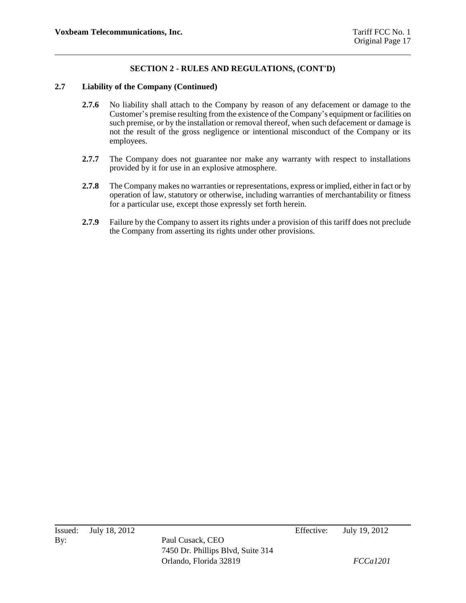#### **2.7 Liability of the Company (Continued)**

- **2.7.6** No liability shall attach to the Company by reason of any defacement or damage to the Customer's premise resulting from the existence of the Company's equipment or facilities on such premise, or by the installation or removal thereof, when such defacement or damage is not the result of the gross negligence or intentional misconduct of the Company or its employees.
- 2.7.7 The Company does not guarantee nor make any warranty with respect to installations provided by it for use in an explosive atmosphere.
- **2.7.8** The Company makes no warranties or representations, express or implied, either in fact or by operation of law, statutory or otherwise, including warranties of merchantability or fitness for a particular use, except those expressly set forth herein.
- **2.7.9** Failure by the Company to assert its rights under a provision of this tariff does not preclude the Company from asserting its rights under other provisions.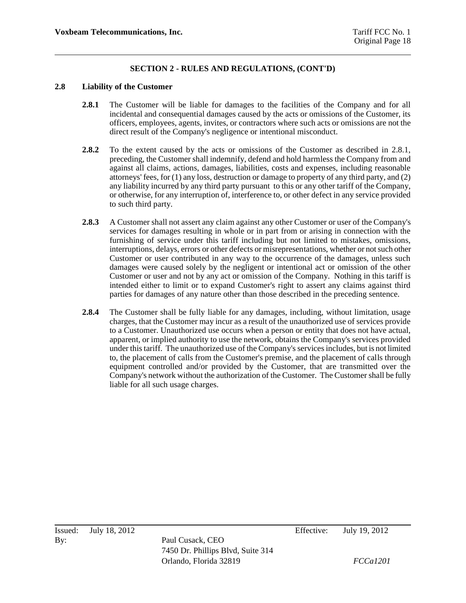#### **2.8 Liability of the Customer**

- **2.8.1** The Customer will be liable for damages to the facilities of the Company and for all incidental and consequential damages caused by the acts or omissions of the Customer, its officers, employees, agents, invites, or contractors where such acts or omissions are not the direct result of the Company's negligence or intentional misconduct.
- **2.8.2** To the extent caused by the acts or omissions of the Customer as described in 2.8.1, preceding, the Customer shall indemnify, defend and hold harmless the Company from and against all claims, actions, damages, liabilities, costs and expenses, including reasonable attorneys' fees, for (1) any loss, destruction or damage to property of any third party, and (2) any liability incurred by any third party pursuant to this or any other tariff of the Company, or otherwise, for any interruption of, interference to, or other defect in any service provided to such third party.
- **2.8.3** A Customer shall not assert any claim against any other Customer or user of the Company's services for damages resulting in whole or in part from or arising in connection with the furnishing of service under this tariff including but not limited to mistakes, omissions, interruptions, delays, errors or other defects or misrepresentations, whether or not such other Customer or user contributed in any way to the occurrence of the damages, unless such damages were caused solely by the negligent or intentional act or omission of the other Customer or user and not by any act or omission of the Company. Nothing in this tariff is intended either to limit or to expand Customer's right to assert any claims against third parties for damages of any nature other than those described in the preceding sentence.
- **2.8.4** The Customer shall be fully liable for any damages, including, without limitation, usage charges, that the Customer may incur as a result of the unauthorized use of services provide to a Customer. Unauthorized use occurs when a person or entity that does not have actual, apparent, or implied authority to use the network, obtains the Company's services provided under this tariff. The unauthorized use of the Company's services includes, but is not limited to, the placement of calls from the Customer's premise, and the placement of calls through equipment controlled and/or provided by the Customer, that are transmitted over the Company's network without the authorization of the Customer. The Customer shall be fully liable for all such usage charges.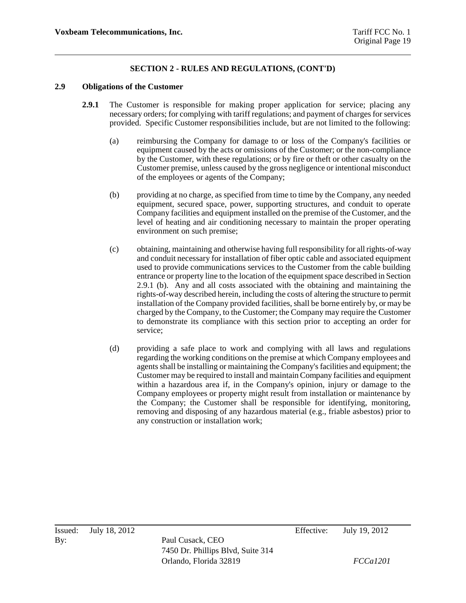#### **2.9 Obligations of the Customer**

- **2.9.1** The Customer is responsible for making proper application for service; placing any necessary orders; for complying with tariff regulations; and payment of charges for services provided. Specific Customer responsibilities include, but are not limited to the following:
	- (a) reimbursing the Company for damage to or loss of the Company's facilities or equipment caused by the acts or omissions of the Customer; or the non-compliance by the Customer, with these regulations; or by fire or theft or other casualty on the Customer premise, unless caused by the gross negligence or intentional misconduct of the employees or agents of the Company;
	- (b) providing at no charge, as specified from time to time by the Company, any needed equipment, secured space, power, supporting structures, and conduit to operate Company facilities and equipment installed on the premise of the Customer, and the level of heating and air conditioning necessary to maintain the proper operating environment on such premise;
	- (c) obtaining, maintaining and otherwise having full responsibility for all rights-of-way and conduit necessary for installation of fiber optic cable and associated equipment used to provide communications services to the Customer from the cable building entrance or property line to the location of the equipment space described in Section 2.9.1 (b). Any and all costs associated with the obtaining and maintaining the rights-of-way described herein, including the costs of altering the structure to permit installation of the Company provided facilities, shall be borne entirely by, or may be charged by the Company, to the Customer; the Company may require the Customer to demonstrate its compliance with this section prior to accepting an order for service;
	- (d) providing a safe place to work and complying with all laws and regulations regarding the working conditions on the premise at which Company employees and agents shall be installing or maintaining the Company's facilities and equipment; the Customer may be required to install and maintain Company facilities and equipment within a hazardous area if, in the Company's opinion, injury or damage to the Company employees or property might result from installation or maintenance by the Company; the Customer shall be responsible for identifying, monitoring, removing and disposing of any hazardous material (e.g., friable asbestos) prior to any construction or installation work;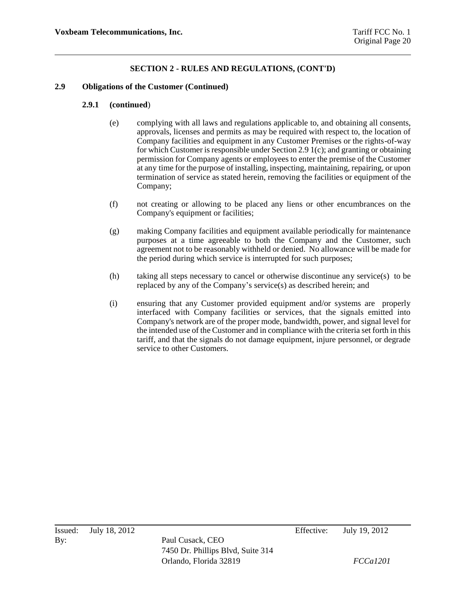#### **2.9 Obligations of the Customer (Continued)**

#### **2.9.1 (continued**)

- (e) complying with all laws and regulations applicable to, and obtaining all consents, approvals, licenses and permits as may be required with respect to, the location of Company facilities and equipment in any Customer Premises or the rights-of-way for which Customer is responsible under Section 2.9 1(c); and granting or obtaining permission for Company agents or employees to enter the premise of the Customer at any time for the purpose of installing, inspecting, maintaining, repairing, or upon termination of service as stated herein, removing the facilities or equipment of the Company;
- (f) not creating or allowing to be placed any liens or other encumbrances on the Company's equipment or facilities;
- (g) making Company facilities and equipment available periodically for maintenance purposes at a time agreeable to both the Company and the Customer, such agreement not to be reasonably withheld or denied. No allowance will be made for the period during which service is interrupted for such purposes;
- (h) taking all steps necessary to cancel or otherwise discontinue any service(s) to be replaced by any of the Company's service(s) as described herein; and
- (i) ensuring that any Customer provided equipment and/or systems are properly interfaced with Company facilities or services, that the signals emitted into Company's network are of the proper mode, bandwidth, power, and signal level for the intended use of the Customer and in compliance with the criteria set forth in this tariff, and that the signals do not damage equipment, injure personnel, or degrade service to other Customers.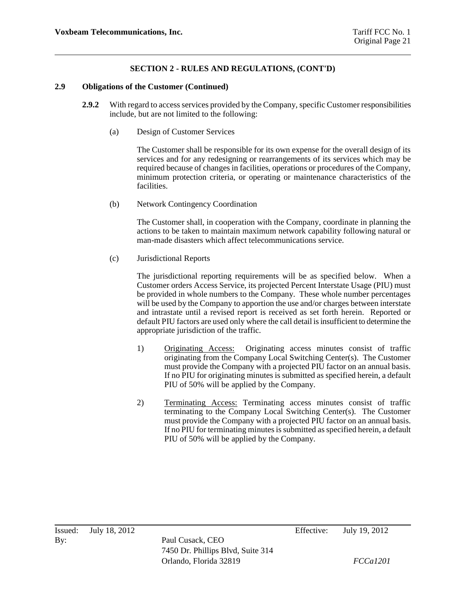#### **2.9 Obligations of the Customer (Continued)**

- **2.9.2** With regard to access services provided by the Company, specific Customer responsibilities include, but are not limited to the following:
	- (a) Design of Customer Services

The Customer shall be responsible for its own expense for the overall design of its services and for any redesigning or rearrangements of its services which may be required because of changes in facilities, operations or procedures of the Company, minimum protection criteria, or operating or maintenance characteristics of the facilities.

(b) Network Contingency Coordination

The Customer shall, in cooperation with the Company, coordinate in planning the actions to be taken to maintain maximum network capability following natural or man-made disasters which affect telecommunications service.

(c) Jurisdictional Reports

The jurisdictional reporting requirements will be as specified below. When a Customer orders Access Service, its projected Percent Interstate Usage (PIU) must be provided in whole numbers to the Company. These whole number percentages will be used by the Company to apportion the use and/or charges between interstate and intrastate until a revised report is received as set forth herein. Reported or default PIU factors are used only where the call detail is insufficient to determine the appropriate jurisdiction of the traffic.

- 1) Originating Access: Originating access minutes consist of traffic originating from the Company Local Switching Center(s). The Customer must provide the Company with a projected PIU factor on an annual basis. If no PIU for originating minutes is submitted as specified herein, a default PIU of 50% will be applied by the Company.
- 2) Terminating Access: Terminating access minutes consist of traffic terminating to the Company Local Switching Center(s). The Customer must provide the Company with a projected PIU factor on an annual basis. If no PIU for terminating minutes is submitted as specified herein, a default PIU of 50% will be applied by the Company.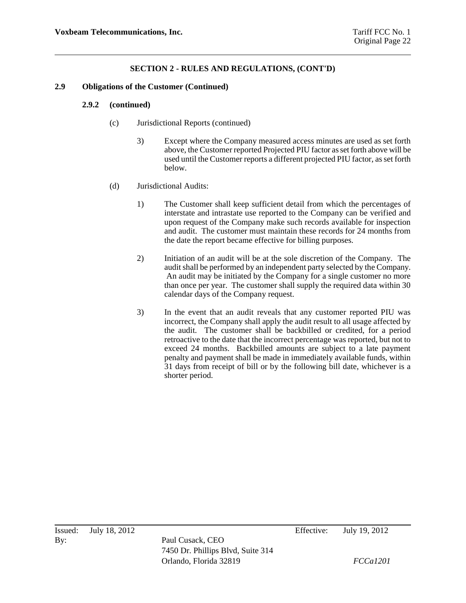#### **2.9 Obligations of the Customer (Continued)**

#### **2.9.2 (continued)**

- (c) Jurisdictional Reports (continued)
	- 3) Except where the Company measured access minutes are used as set forth above, the Customer reported Projected PIU factor as set forth above will be used until the Customer reports a different projected PIU factor, as set forth below.
- (d) Jurisdictional Audits:
	- 1) The Customer shall keep sufficient detail from which the percentages of interstate and intrastate use reported to the Company can be verified and upon request of the Company make such records available for inspection and audit. The customer must maintain these records for 24 months from the date the report became effective for billing purposes.
	- 2) Initiation of an audit will be at the sole discretion of the Company. The audit shall be performed by an independent party selected by the Company. An audit may be initiated by the Company for a single customer no more than once per year. The customer shall supply the required data within 30 calendar days of the Company request.
	- 3) In the event that an audit reveals that any customer reported PIU was incorrect, the Company shall apply the audit result to all usage affected by the audit. The customer shall be backbilled or credited, for a period retroactive to the date that the incorrect percentage was reported, but not to exceed 24 months. Backbilled amounts are subject to a late payment penalty and payment shall be made in immediately available funds, within 31 days from receipt of bill or by the following bill date, whichever is a shorter period.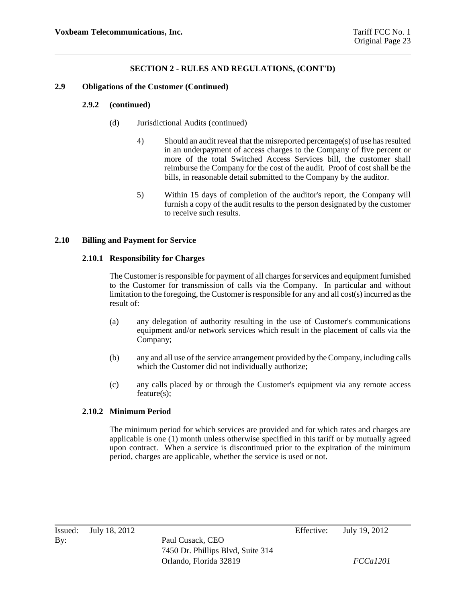#### **2.9 Obligations of the Customer (Continued)**

#### **2.9.2 (continued)**

- (d) Jurisdictional Audits (continued)
	- 4) Should an audit reveal that the misreported percentage(s) of use has resulted in an underpayment of access charges to the Company of five percent or more of the total Switched Access Services bill, the customer shall reimburse the Company for the cost of the audit. Proof of cost shall be the bills, in reasonable detail submitted to the Company by the auditor.
	- 5) Within 15 days of completion of the auditor's report, the Company will furnish a copy of the audit results to the person designated by the customer to receive such results.

#### **2.10 Billing and Payment for Service**

#### **2.10.1 Responsibility for Charges**

The Customer is responsible for payment of all charges for services and equipment furnished to the Customer for transmission of calls via the Company. In particular and without limitation to the foregoing, the Customer is responsible for any and all cost(s) incurred as the result of:

- (a) any delegation of authority resulting in the use of Customer's communications equipment and/or network services which result in the placement of calls via the Company;
- (b) any and all use of the service arrangement provided by the Company, including calls which the Customer did not individually authorize;
- (c) any calls placed by or through the Customer's equipment via any remote access feature(s);

### **2.10.2 Minimum Period**

The minimum period for which services are provided and for which rates and charges are applicable is one (1) month unless otherwise specified in this tariff or by mutually agreed upon contract. When a service is discontinued prior to the expiration of the minimum period, charges are applicable, whether the service is used or not.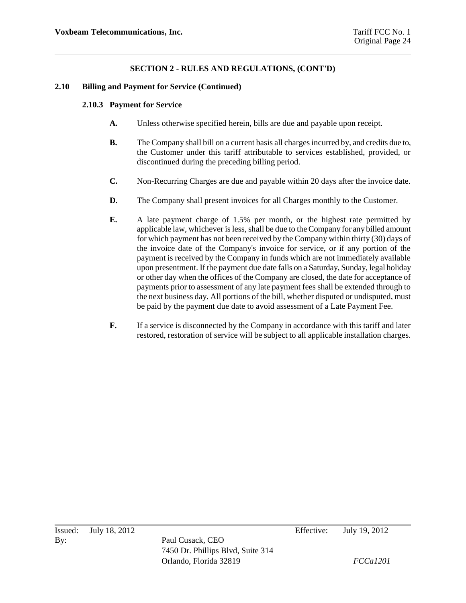### **2.10 Billing and Payment for Service (Continued)**

### **2.10.3 Payment for Service**

- **A.** Unless otherwise specified herein, bills are due and payable upon receipt.
- **B.** The Company shall bill on a current basis all charges incurred by, and credits due to, the Customer under this tariff attributable to services established, provided, or discontinued during the preceding billing period.
- **C.** Non-Recurring Charges are due and payable within 20 days after the invoice date.
- **D.** The Company shall present invoices for all Charges monthly to the Customer.
- **E.** A late payment charge of 1.5% per month, or the highest rate permitted by applicable law, whichever is less, shall be due to the Company for any billed amount for which payment has not been received by the Company within thirty (30) days of the invoice date of the Company's invoice for service, or if any portion of the payment is received by the Company in funds which are not immediately available upon presentment. If the payment due date falls on a Saturday, Sunday, legal holiday or other day when the offices of the Company are closed, the date for acceptance of payments prior to assessment of any late payment fees shall be extended through to the next business day. All portions of the bill, whether disputed or undisputed, must be paid by the payment due date to avoid assessment of a Late Payment Fee.
- **F.** If a service is disconnected by the Company in accordance with this tariff and later restored, restoration of service will be subject to all applicable installation charges.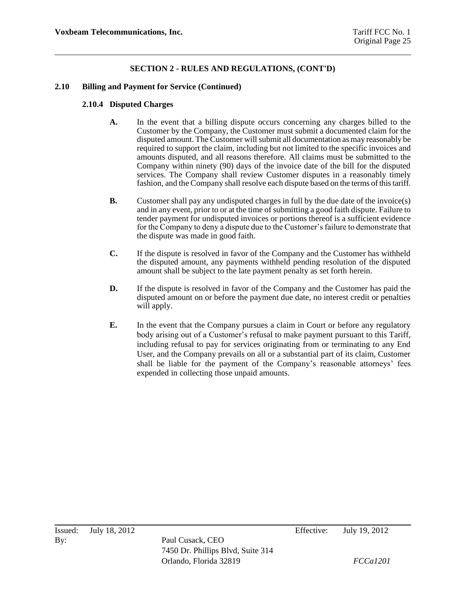### **2.10 Billing and Payment for Service (Continued)**

### **2.10.4 Disputed Charges**

- **A.** In the event that a billing dispute occurs concerning any charges billed to the Customer by the Company, the Customer must submit a documented claim for the disputed amount. The Customer will submit all documentation as may reasonably be required to support the claim, including but not limited to the specific invoices and amounts disputed, and all reasons therefore. All claims must be submitted to the Company within ninety (90) days of the invoice date of the bill for the disputed services. The Company shall review Customer disputes in a reasonably timely fashion, and the Company shall resolve each dispute based on the terms of this tariff.
- **B.** Customer shall pay any undisputed charges in full by the due date of the invoice(s) and in any event, prior to or at the time of submitting a good faith dispute. Failure to tender payment for undisputed invoices or portions thereof is a sufficient evidence for the Company to deny a dispute due to the Customer's failure to demonstrate that the dispute was made in good faith.
- **C.** If the dispute is resolved in favor of the Company and the Customer has withheld the disputed amount, any payments withheld pending resolution of the disputed amount shall be subject to the late payment penalty as set forth herein.
- **D.** If the dispute is resolved in favor of the Company and the Customer has paid the disputed amount on or before the payment due date, no interest credit or penalties will apply.
- **E.** In the event that the Company pursues a claim in Court or before any regulatory body arising out of a Customer's refusal to make payment pursuant to this Tariff, including refusal to pay for services originating from or terminating to any End User, and the Company prevails on all or a substantial part of its claim, Customer shall be liable for the payment of the Company's reasonable attorneys' fees expended in collecting those unpaid amounts.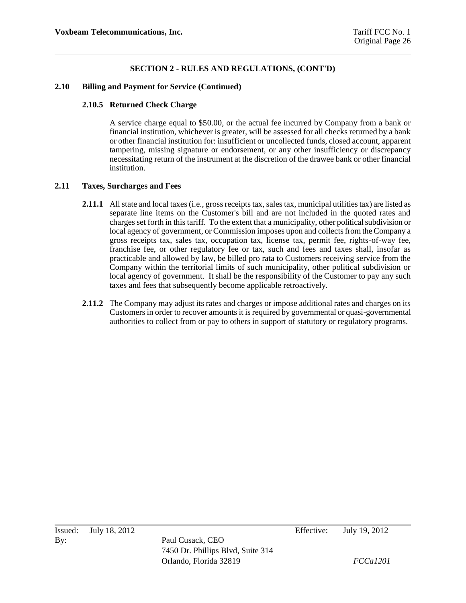### **2.10 Billing and Payment for Service (Continued)**

### **2.10.5 Returned Check Charge**

A service charge equal to \$50.00, or the actual fee incurred by Company from a bank or financial institution, whichever is greater, will be assessed for all checks returned by a bank or other financial institution for: insufficient or uncollected funds, closed account, apparent tampering, missing signature or endorsement, or any other insufficiency or discrepancy necessitating return of the instrument at the discretion of the drawee bank or other financial institution.

### **2.11 Taxes, Surcharges and Fees**

- **2.11.1** All state and local taxes (i.e., gross receipts tax, sales tax, municipal utilities tax) are listed as separate line items on the Customer's bill and are not included in the quoted rates and charges set forth in this tariff. To the extent that a municipality, other political subdivision or local agency of government, or Commission imposes upon and collects from the Company a gross receipts tax, sales tax, occupation tax, license tax, permit fee, rights-of-way fee, franchise fee, or other regulatory fee or tax, such and fees and taxes shall, insofar as practicable and allowed by law, be billed pro rata to Customers receiving service from the Company within the territorial limits of such municipality, other political subdivision or local agency of government. It shall be the responsibility of the Customer to pay any such taxes and fees that subsequently become applicable retroactively.
- **2.11.2** The Company may adjust its rates and charges or impose additional rates and charges on its Customers in order to recover amounts it is required by governmental or quasi-governmental authorities to collect from or pay to others in support of statutory or regulatory programs.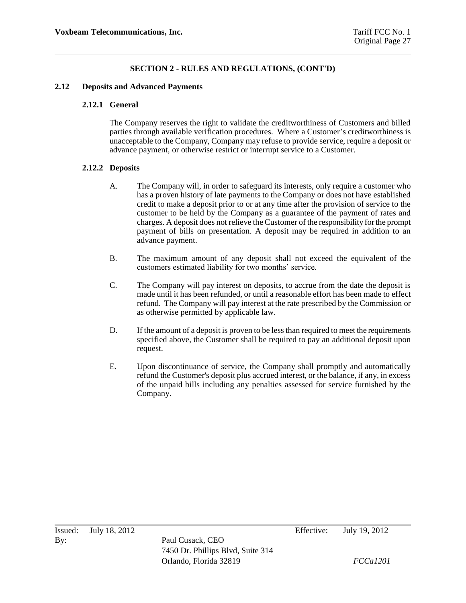#### **2.12 Deposits and Advanced Payments**

### **2.12.1 General**

The Company reserves the right to validate the creditworthiness of Customers and billed parties through available verification procedures. Where a Customer's creditworthiness is unacceptable to the Company, Company may refuse to provide service, require a deposit or advance payment, or otherwise restrict or interrupt service to a Customer.

### **2.12.2 Deposits**

- A. The Company will, in order to safeguard its interests, only require a customer who has a proven history of late payments to the Company or does not have established credit to make a deposit prior to or at any time after the provision of service to the customer to be held by the Company as a guarantee of the payment of rates and charges. A deposit does not relieve the Customer of the responsibility for the prompt payment of bills on presentation. A deposit may be required in addition to an advance payment.
- B. The maximum amount of any deposit shall not exceed the equivalent of the customers estimated liability for two months' service.
- C. The Company will pay interest on deposits, to accrue from the date the deposit is made until it has been refunded, or until a reasonable effort has been made to effect refund. The Company will pay interest at the rate prescribed by the Commission or as otherwise permitted by applicable law.
- D. If the amount of a deposit is proven to be less than required to meet the requirements specified above, the Customer shall be required to pay an additional deposit upon request.
- E. Upon discontinuance of service, the Company shall promptly and automatically refund the Customer's deposit plus accrued interest, or the balance, if any, in excess of the unpaid bills including any penalties assessed for service furnished by the Company.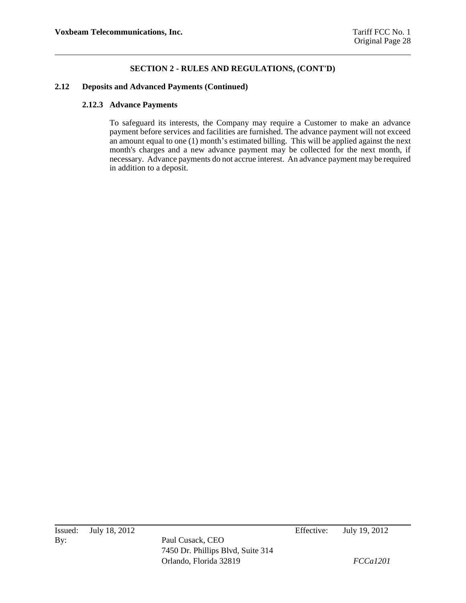#### **2.12 Deposits and Advanced Payments (Continued)**

### **2.12.3 Advance Payments**

To safeguard its interests, the Company may require a Customer to make an advance payment before services and facilities are furnished. The advance payment will not exceed an amount equal to one (1) month's estimated billing. This will be applied against the next month's charges and a new advance payment may be collected for the next month, if necessary. Advance payments do not accrue interest. An advance payment may be required in addition to a deposit.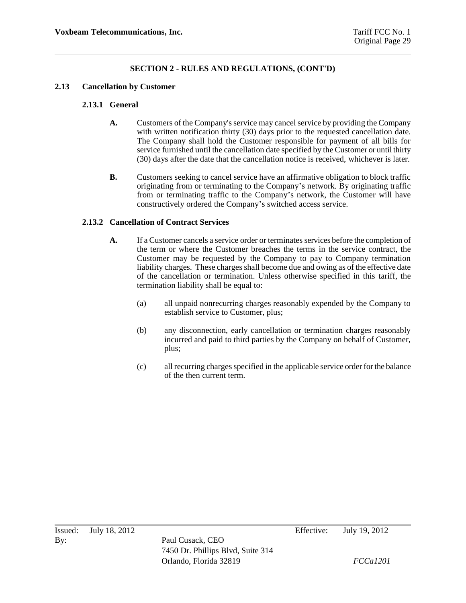### **2.13 Cancellation by Customer**

### **2.13.1 General**

- **A.** Customers of the Company's service may cancel service by providing the Company with written notification thirty (30) days prior to the requested cancellation date. The Company shall hold the Customer responsible for payment of all bills for service furnished until the cancellation date specified by the Customer or until thirty (30) days after the date that the cancellation notice is received, whichever is later.
- **B.** Customers seeking to cancel service have an affirmative obligation to block traffic originating from or terminating to the Company's network. By originating traffic from or terminating traffic to the Company's network, the Customer will have constructively ordered the Company's switched access service.

### **2.13.2 Cancellation of Contract Services**

- **A.** If a Customer cancels a service order or terminates services before the completion of the term or where the Customer breaches the terms in the service contract, the Customer may be requested by the Company to pay to Company termination liability charges. These charges shall become due and owing as of the effective date of the cancellation or termination. Unless otherwise specified in this tariff, the termination liability shall be equal to:
	- (a) all unpaid nonrecurring charges reasonably expended by the Company to establish service to Customer, plus;
	- (b) any disconnection, early cancellation or termination charges reasonably incurred and paid to third parties by the Company on behalf of Customer, plus;
	- (c) all recurring charges specified in the applicable service order for the balance of the then current term.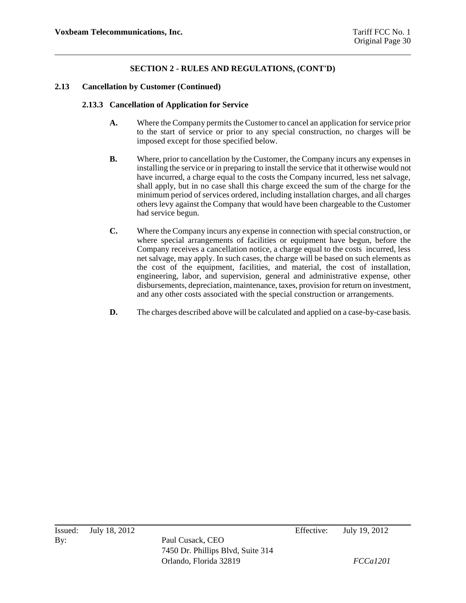### **2.13 Cancellation by Customer (Continued)**

### **2.13.3 Cancellation of Application for Service**

- **A.** Where the Company permits the Customer to cancel an application for service prior to the start of service or prior to any special construction, no charges will be imposed except for those specified below.
- **B.** Where, prior to cancellation by the Customer, the Company incurs any expenses in installing the service or in preparing to install the service that it otherwise would not have incurred, a charge equal to the costs the Company incurred, less net salvage, shall apply, but in no case shall this charge exceed the sum of the charge for the minimum period of services ordered, including installation charges, and all charges others levy against the Company that would have been chargeable to the Customer had service begun.
- **C.** Where the Company incurs any expense in connection with special construction, or where special arrangements of facilities or equipment have begun, before the Company receives a cancellation notice, a charge equal to the costs incurred, less net salvage, may apply. In such cases, the charge will be based on such elements as the cost of the equipment, facilities, and material, the cost of installation, engineering, labor, and supervision, general and administrative expense, other disbursements, depreciation, maintenance, taxes, provision for return on investment, and any other costs associated with the special construction or arrangements.
- **D.** The charges described above will be calculated and applied on a case-by-case basis.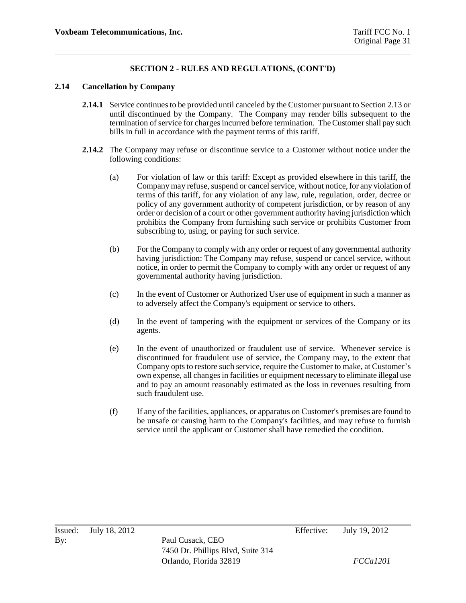### **2.14 Cancellation by Company**

- **2.14.1** Service continues to be provided until canceled by the Customer pursuant to Section 2.13 or until discontinued by the Company. The Company may render bills subsequent to the termination of service for charges incurred before termination. The Customer shall pay such bills in full in accordance with the payment terms of this tariff.
- **2.14.2** The Company may refuse or discontinue service to a Customer without notice under the following conditions:
	- (a) For violation of law or this tariff: Except as provided elsewhere in this tariff, the Company may refuse, suspend or cancel service, without notice, for any violation of terms of this tariff, for any violation of any law, rule, regulation, order, decree or policy of any government authority of competent jurisdiction, or by reason of any order or decision of a court or other government authority having jurisdiction which prohibits the Company from furnishing such service or prohibits Customer from subscribing to, using, or paying for such service.
	- (b) For the Company to comply with any order or request of any governmental authority having jurisdiction: The Company may refuse, suspend or cancel service, without notice, in order to permit the Company to comply with any order or request of any governmental authority having jurisdiction.
	- (c) In the event of Customer or Authorized User use of equipment in such a manner as to adversely affect the Company's equipment or service to others.
	- (d) In the event of tampering with the equipment or services of the Company or its agents.
	- (e) In the event of unauthorized or fraudulent use of service. Whenever service is discontinued for fraudulent use of service, the Company may, to the extent that Company opts to restore such service, require the Customer to make, at Customer's own expense, all changes in facilities or equipment necessary to eliminate illegal use and to pay an amount reasonably estimated as the loss in revenues resulting from such fraudulent use.
	- (f) If any of the facilities, appliances, or apparatus on Customer's premises are found to be unsafe or causing harm to the Company's facilities, and may refuse to furnish service until the applicant or Customer shall have remedied the condition.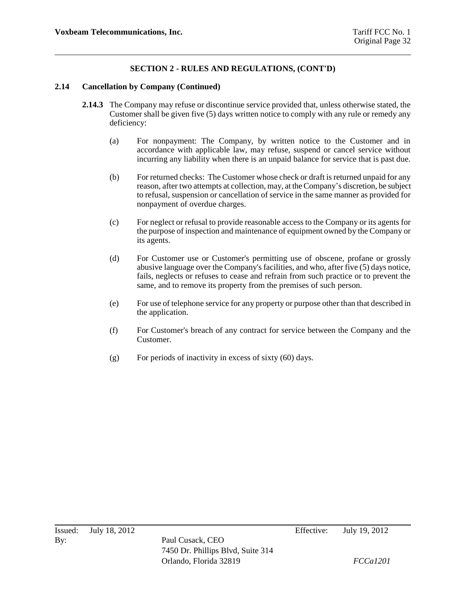#### **2.14 Cancellation by Company (Continued)**

- **2.14.3** The Company may refuse or discontinue service provided that, unless otherwise stated, the Customer shall be given five (5) days written notice to comply with any rule or remedy any deficiency:
	- (a) For nonpayment: The Company, by written notice to the Customer and in accordance with applicable law, may refuse, suspend or cancel service without incurring any liability when there is an unpaid balance for service that is past due.
	- (b) For returned checks: The Customer whose check or draft is returned unpaid for any reason, after two attempts at collection, may, at the Company's discretion, be subject to refusal, suspension or cancellation of service in the same manner as provided for nonpayment of overdue charges.
	- (c) For neglect or refusal to provide reasonable access to the Company or its agents for the purpose of inspection and maintenance of equipment owned by the Company or its agents.
	- (d) For Customer use or Customer's permitting use of obscene, profane or grossly abusive language over the Company's facilities, and who, after five (5) days notice, fails, neglects or refuses to cease and refrain from such practice or to prevent the same, and to remove its property from the premises of such person.
	- (e) For use of telephone service for any property or purpose other than that described in the application.
	- (f) For Customer's breach of any contract for service between the Company and the Customer.
	- (g) For periods of inactivity in excess of sixty (60) days.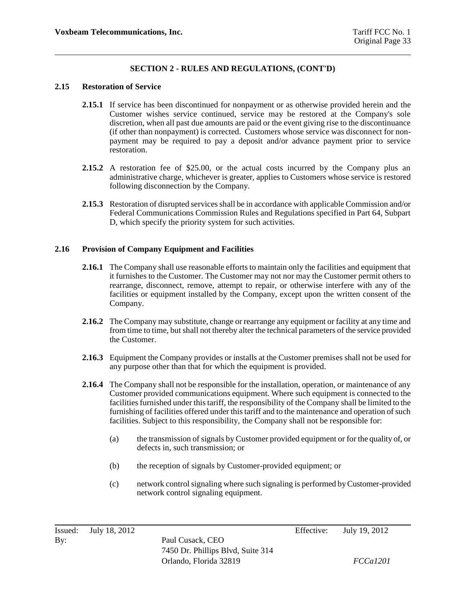#### **2.15 Restoration of Service**

- **2.15.1** If service has been discontinued for nonpayment or as otherwise provided herein and the Customer wishes service continued, service may be restored at the Company's sole discretion, when all past due amounts are paid or the event giving rise to the discontinuance (if other than nonpayment) is corrected. Customers whose service was disconnect for nonpayment may be required to pay a deposit and/or advance payment prior to service restoration.
- **2.15.2** A restoration fee of \$25.00, or the actual costs incurred by the Company plus an administrative charge, whichever is greater, applies to Customers whose service is restored following disconnection by the Company.
- **2.15.3** Restoration of disrupted services shall be in accordance with applicable Commission and/or Federal Communications Commission Rules and Regulations specified in Part 64, Subpart D, which specify the priority system for such activities.

### **2.16 Provision of Company Equipment and Facilities**

- **2.16.1** The Company shall use reasonable efforts to maintain only the facilities and equipment that it furnishes to the Customer. The Customer may not nor may the Customer permit others to rearrange, disconnect, remove, attempt to repair, or otherwise interfere with any of the facilities or equipment installed by the Company, except upon the written consent of the Company.
- **2.16.2** The Company may substitute, change or rearrange any equipment or facility at any time and from time to time, but shall not thereby alter the technical parameters of the service provided the Customer.
- **2.16.3** Equipment the Company provides or installs at the Customer premises shall not be used for any purpose other than that for which the equipment is provided.
- **2.16.4** The Company shall not be responsible for the installation, operation, or maintenance of any Customer provided communications equipment. Where such equipment is connected to the facilities furnished under this tariff, the responsibility of the Company shall be limited to the furnishing of facilities offered under this tariff and to the maintenance and operation of such facilities. Subject to this responsibility, the Company shall not be responsible for:
	- (a) the transmission of signals by Customer provided equipment or for the quality of, or defects in, such transmission; or
	- (b) the reception of signals by Customer-provided equipment; or
	- (c) network control signaling where such signaling is performed by Customer-provided network control signaling equipment.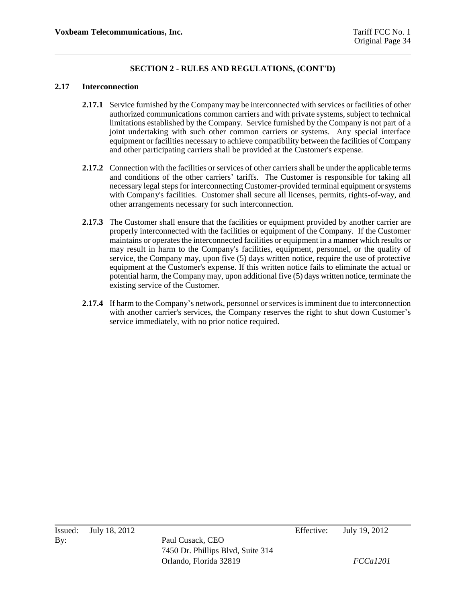#### **2.17 Interconnection**

- **2.17.1** Service furnished by the Company may be interconnected with services or facilities of other authorized communications common carriers and with private systems, subject to technical limitations established by the Company. Service furnished by the Company is not part of a joint undertaking with such other common carriers or systems. Any special interface equipment or facilities necessary to achieve compatibility between the facilities of Company and other participating carriers shall be provided at the Customer's expense.
- **2.17.2** Connection with the facilities or services of other carriers shall be under the applicable terms and conditions of the other carriers' tariffs. The Customer is responsible for taking all necessary legal steps for interconnecting Customer-provided terminal equipment or systems with Company's facilities. Customer shall secure all licenses, permits, rights-of-way, and other arrangements necessary for such interconnection.
- 2.17.3 The Customer shall ensure that the facilities or equipment provided by another carrier are properly interconnected with the facilities or equipment of the Company. If the Customer maintains or operates the interconnected facilities or equipment in a manner which results or may result in harm to the Company's facilities, equipment, personnel, or the quality of service, the Company may, upon five (5) days written notice, require the use of protective equipment at the Customer's expense. If this written notice fails to eliminate the actual or potential harm, the Company may, upon additional five (5) days written notice, terminate the existing service of the Customer.
- **2.17.4** If harm to the Company's network, personnel or services is imminent due to interconnection with another carrier's services, the Company reserves the right to shut down Customer's service immediately, with no prior notice required.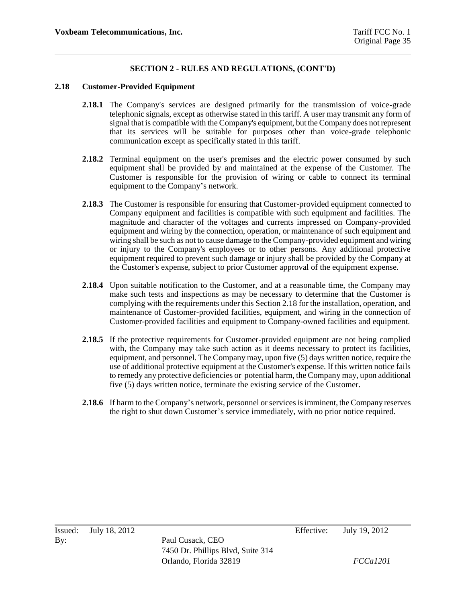#### **2.18 Customer-Provided Equipment**

- **2.18.1** The Company's services are designed primarily for the transmission of voice-grade telephonic signals, except as otherwise stated in this tariff. A user may transmit any form of signal that is compatible with the Company's equipment, but the Company does not represent that its services will be suitable for purposes other than voice-grade telephonic communication except as specifically stated in this tariff.
- **2.18.2** Terminal equipment on the user's premises and the electric power consumed by such equipment shall be provided by and maintained at the expense of the Customer. The Customer is responsible for the provision of wiring or cable to connect its terminal equipment to the Company's network.
- **2.18.3** The Customer is responsible for ensuring that Customer-provided equipment connected to Company equipment and facilities is compatible with such equipment and facilities. The magnitude and character of the voltages and currents impressed on Company-provided equipment and wiring by the connection, operation, or maintenance of such equipment and wiring shall be such as not to cause damage to the Company-provided equipment and wiring or injury to the Company's employees or to other persons. Any additional protective equipment required to prevent such damage or injury shall be provided by the Company at the Customer's expense, subject to prior Customer approval of the equipment expense.
- **2.18.4** Upon suitable notification to the Customer, and at a reasonable time, the Company may make such tests and inspections as may be necessary to determine that the Customer is complying with the requirements under this Section 2.18 for the installation, operation, and maintenance of Customer-provided facilities, equipment, and wiring in the connection of Customer-provided facilities and equipment to Company-owned facilities and equipment.
- 2.18.5 If the protective requirements for Customer-provided equipment are not being complied with, the Company may take such action as it deems necessary to protect its facilities, equipment, and personnel. The Company may, upon five (5) days written notice, require the use of additional protective equipment at the Customer's expense. If this written notice fails to remedy any protective deficiencies or potential harm, the Company may, upon additional five (5) days written notice, terminate the existing service of the Customer.
- **2.18.6** If harm to the Company's network, personnel or services is imminent, the Company reserves the right to shut down Customer's service immediately, with no prior notice required.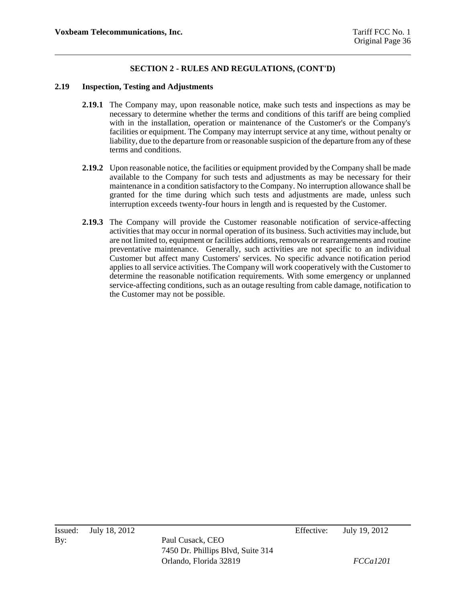#### **2.19 Inspection, Testing and Adjustments**

- **2.19.1** The Company may, upon reasonable notice, make such tests and inspections as may be necessary to determine whether the terms and conditions of this tariff are being complied with in the installation, operation or maintenance of the Customer's or the Company's facilities or equipment. The Company may interrupt service at any time, without penalty or liability, due to the departure from or reasonable suspicion of the departure from any of these terms and conditions.
- **2.19.2** Upon reasonable notice, the facilities or equipment provided by the Company shall be made available to the Company for such tests and adjustments as may be necessary for their maintenance in a condition satisfactory to the Company. No interruption allowance shall be granted for the time during which such tests and adjustments are made, unless such interruption exceeds twenty-four hours in length and is requested by the Customer.
- **2.19.3** The Company will provide the Customer reasonable notification of service-affecting activities that may occur in normal operation of its business. Such activities may include, but are not limited to, equipment or facilities additions, removals or rearrangements and routine preventative maintenance. Generally, such activities are not specific to an individual Customer but affect many Customers' services. No specific advance notification period applies to all service activities. The Company will work cooperatively with the Customer to determine the reasonable notification requirements. With some emergency or unplanned service-affecting conditions, such as an outage resulting from cable damage, notification to the Customer may not be possible.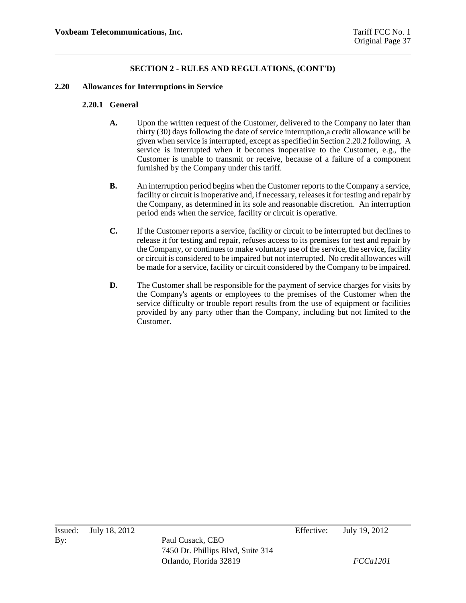#### **2.20 Allowances for Interruptions in Service**

#### **2.20.1 General**

- **A.** Upon the written request of the Customer, delivered to the Company no later than thirty (30) days following the date of service interruption,a credit allowance will be given when service is interrupted, except as specified in Section 2.20.2 following. A service is interrupted when it becomes inoperative to the Customer, e.g., the Customer is unable to transmit or receive, because of a failure of a component furnished by the Company under this tariff.
- **B.** An interruption period begins when the Customer reports to the Company a service, facility or circuit is inoperative and, if necessary, releases it for testing and repair by the Company, as determined in its sole and reasonable discretion. An interruption period ends when the service, facility or circuit is operative.
- **C.** If the Customer reports a service, facility or circuit to be interrupted but declines to release it for testing and repair, refuses access to its premises for test and repair by the Company, or continues to make voluntary use of the service, the service, facility or circuit is considered to be impaired but not interrupted. No credit allowances will be made for a service, facility or circuit considered by the Company to be impaired.
- **D.** The Customer shall be responsible for the payment of service charges for visits by the Company's agents or employees to the premises of the Customer when the service difficulty or trouble report results from the use of equipment or facilities provided by any party other than the Company, including but not limited to the Customer.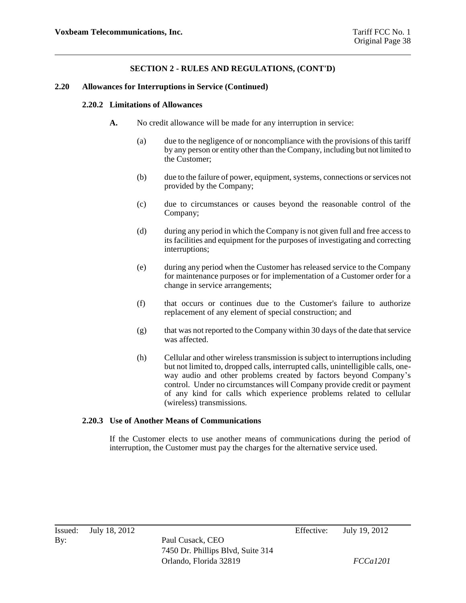#### **2.20 Allowances for Interruptions in Service (Continued)**

#### **2.20.2 Limitations of Allowances**

- **A.** No credit allowance will be made for any interruption in service:
	- (a) due to the negligence of or noncompliance with the provisions of this tariff by any person or entity other than the Company, including but not limited to the Customer;
	- (b) due to the failure of power, equipment, systems, connections or services not provided by the Company;
	- (c) due to circumstances or causes beyond the reasonable control of the Company;
	- (d) during any period in which the Company is not given full and free access to its facilities and equipment for the purposes of investigating and correcting interruptions;
	- (e) during any period when the Customer has released service to the Company for maintenance purposes or for implementation of a Customer order for a change in service arrangements;
	- (f) that occurs or continues due to the Customer's failure to authorize replacement of any element of special construction; and
	- (g) that was not reported to the Company within 30 days of the date that service was affected.
	- (h) Cellular and other wireless transmission is subject to interruptions including but not limited to, dropped calls, interrupted calls, unintelligible calls, oneway audio and other problems created by factors beyond Company's control. Under no circumstances will Company provide credit or payment of any kind for calls which experience problems related to cellular (wireless) transmissions.

#### **2.20.3 Use of Another Means of Communications**

If the Customer elects to use another means of communications during the period of interruption, the Customer must pay the charges for the alternative service used.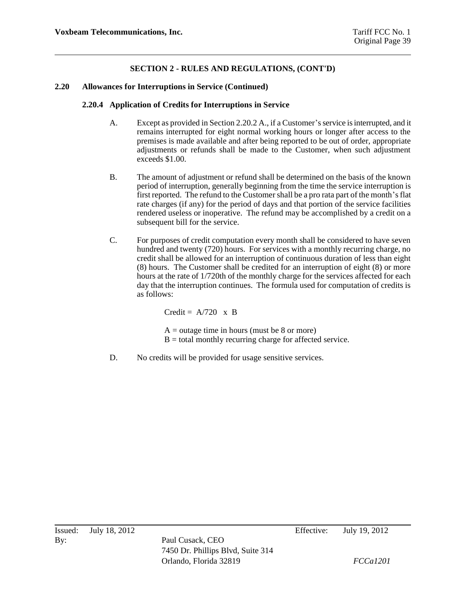#### **2.20 Allowances for Interruptions in Service (Continued)**

#### **2.20.4 Application of Credits for Interruptions in Service**

- A. Except as provided in Section 2.20.2 A., if a Customer's service is interrupted, and it remains interrupted for eight normal working hours or longer after access to the premises is made available and after being reported to be out of order, appropriate adjustments or refunds shall be made to the Customer, when such adjustment exceeds \$1.00.
- B. The amount of adjustment or refund shall be determined on the basis of the known period of interruption, generally beginning from the time the service interruption is first reported. The refund to the Customer shall be a pro rata part of the month's flat rate charges (if any) for the period of days and that portion of the service facilities rendered useless or inoperative. The refund may be accomplished by a credit on a subsequent bill for the service.
- C. For purposes of credit computation every month shall be considered to have seven hundred and twenty (720) hours. For services with a monthly recurring charge, no credit shall be allowed for an interruption of continuous duration of less than eight (8) hours. The Customer shall be credited for an interruption of eight (8) or more hours at the rate of 1/720th of the monthly charge for the services affected for each day that the interruption continues. The formula used for computation of credits is as follows:

Credit =  $A/720 \times B$ 

 $A =$  outage time in hours (must be 8 or more)  $B =$  total monthly recurring charge for affected service.

D. No credits will be provided for usage sensitive services.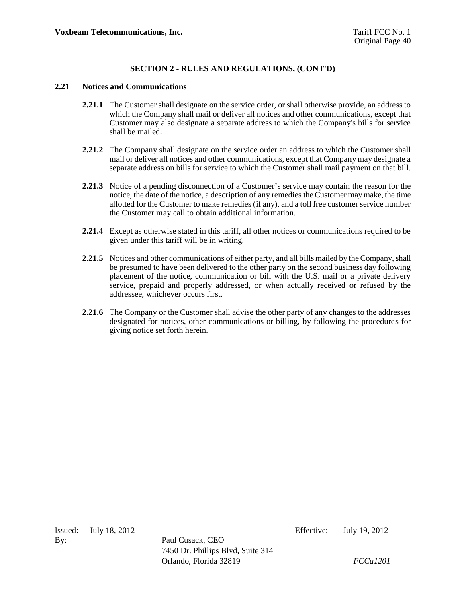#### **2.21 Notices and Communications**

- **2.21.1** The Customer shall designate on the service order, or shall otherwise provide, an address to which the Company shall mail or deliver all notices and other communications, except that Customer may also designate a separate address to which the Company's bills for service shall be mailed.
- **2.21.2** The Company shall designate on the service order an address to which the Customer shall mail or deliver all notices and other communications, except that Company may designate a separate address on bills for service to which the Customer shall mail payment on that bill.
- **2.21.3** Notice of a pending disconnection of a Customer's service may contain the reason for the notice, the date of the notice, a description of any remedies the Customer may make, the time allotted for the Customer to make remedies (if any), and a toll free customer service number the Customer may call to obtain additional information.
- **2.21.4** Except as otherwise stated in this tariff, all other notices or communications required to be given under this tariff will be in writing.
- **2.21.5** Notices and other communications of either party, and all bills mailed by the Company, shall be presumed to have been delivered to the other party on the second business day following placement of the notice, communication or bill with the U.S. mail or a private delivery service, prepaid and properly addressed, or when actually received or refused by the addressee, whichever occurs first.
- **2.21.6** The Company or the Customer shall advise the other party of any changes to the addresses designated for notices, other communications or billing, by following the procedures for giving notice set forth herein.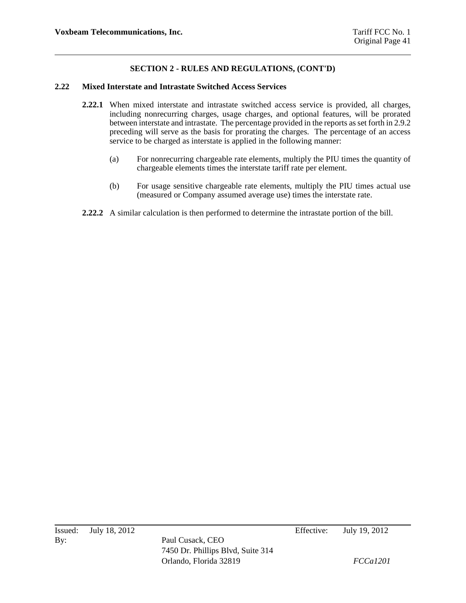#### **2.22 Mixed Interstate and Intrastate Switched Access Services**

- **2.22.1** When mixed interstate and intrastate switched access service is provided, all charges, including nonrecurring charges, usage charges, and optional features, will be prorated between interstate and intrastate. The percentage provided in the reports as set forth in 2.9.2 preceding will serve as the basis for prorating the charges. The percentage of an access service to be charged as interstate is applied in the following manner:
	- (a) For nonrecurring chargeable rate elements, multiply the PIU times the quantity of chargeable elements times the interstate tariff rate per element.
	- (b) For usage sensitive chargeable rate elements, multiply the PIU times actual use (measured or Company assumed average use) times the interstate rate.
- **2.22.2** A similar calculation is then performed to determine the intrastate portion of the bill.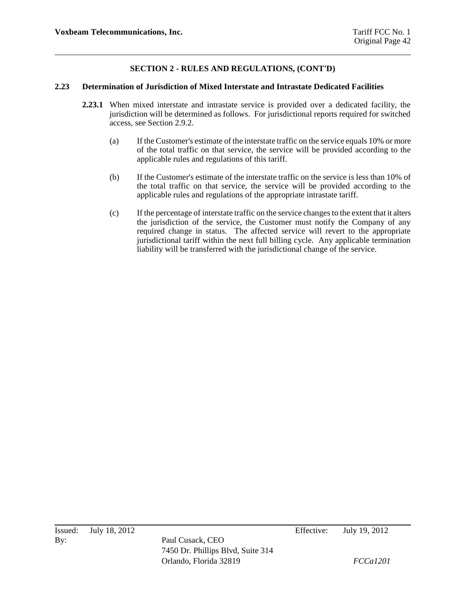#### **2.23 Determination of Jurisdiction of Mixed Interstate and Intrastate Dedicated Facilities**

- **2.23.1** When mixed interstate and intrastate service is provided over a dedicated facility, the jurisdiction will be determined as follows. For jurisdictional reports required for switched access, see Section 2.9.2.
	- (a) If the Customer's estimate of the interstate traffic on the service equals 10% or more of the total traffic on that service, the service will be provided according to the applicable rules and regulations of this tariff.
	- (b) If the Customer's estimate of the interstate traffic on the service is less than 10% of the total traffic on that service, the service will be provided according to the applicable rules and regulations of the appropriate intrastate tariff.
	- (c) If the percentage of interstate traffic on the service changes to the extent that it alters the jurisdiction of the service, the Customer must notify the Company of any required change in status. The affected service will revert to the appropriate jurisdictional tariff within the next full billing cycle. Any applicable termination liability will be transferred with the jurisdictional change of the service.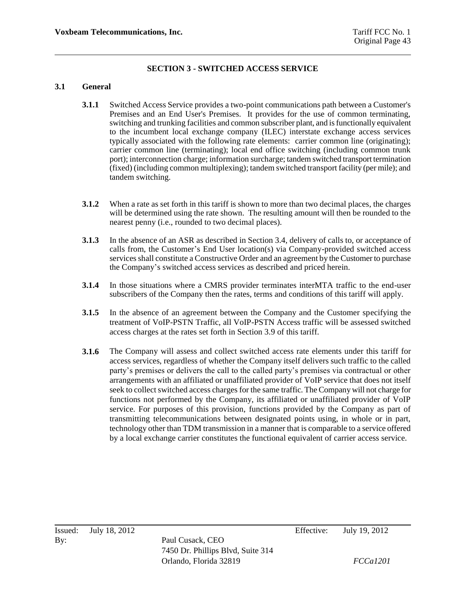## **SECTION 3 - SWITCHED ACCESS SERVICE**

#### **3.1 General**

- **3.1.1** Switched Access Service provides a two-point communications path between a Customer's Premises and an End User's Premises. It provides for the use of common terminating, switching and trunking facilities and common subscriber plant, and is functionally equivalent to the incumbent local exchange company (ILEC) interstate exchange access services typically associated with the following rate elements: carrier common line (originating); carrier common line (terminating); local end office switching (including common trunk port); interconnection charge; information surcharge; tandem switched transport termination (fixed) (including common multiplexing); tandem switched transport facility (per mile); and tandem switching.
- **3.1.2** When a rate as set forth in this tariff is shown to more than two decimal places, the charges will be determined using the rate shown. The resulting amount will then be rounded to the nearest penny (i.e., rounded to two decimal places).
- **3.1.3** In the absence of an ASR as described in Section 3.4, delivery of calls to, or acceptance of calls from, the Customer's End User location(s) via Company-provided switched access services shall constitute a Constructive Order and an agreement by the Customer to purchase the Company's switched access services as described and priced herein.
- **3.1.4** In those situations where a CMRS provider terminates interMTA traffic to the end-user subscribers of the Company then the rates, terms and conditions of this tariff will apply.
- **3.1.5** In the absence of an agreement between the Company and the Customer specifying the treatment of VoIP-PSTN Traffic, all VoIP-PSTN Access traffic will be assessed switched access charges at the rates set forth in Section 3.9 of this tariff.
- **3.1.6** The Company will assess and collect switched access rate elements under this tariff for access services, regardless of whether the Company itself delivers such traffic to the called party's premises or delivers the call to the called party's premises via contractual or other arrangements with an affiliated or unaffiliated provider of VoIP service that does not itself seek to collect switched access charges for the same traffic. The Company will not charge for functions not performed by the Company, its affiliated or unaffiliated provider of VoIP service. For purposes of this provision, functions provided by the Company as part of transmitting telecommunications between designated points using, in whole or in part, technology other than TDM transmission in a manner that is comparable to a service offered by a local exchange carrier constitutes the functional equivalent of carrier access service.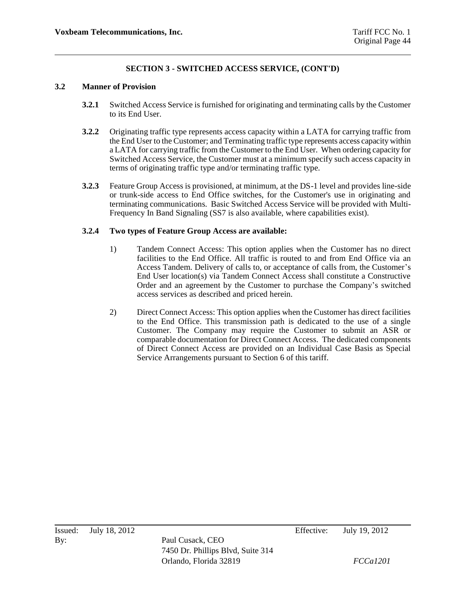#### **3.2 Manner of Provision**

- **3.2.1** Switched Access Service is furnished for originating and terminating calls by the Customer to its End User.
- **3.2.2** Originating traffic type represents access capacity within a LATA for carrying traffic from the End User to the Customer; and Terminating traffic type represents access capacity within a LATA for carrying traffic from the Customer to the End User. When ordering capacity for Switched Access Service, the Customer must at a minimum specify such access capacity in terms of originating traffic type and/or terminating traffic type.
- **3.2.3** Feature Group Access is provisioned, at minimum, at the DS-1 level and provides line-side or trunk-side access to End Office switches, for the Customer's use in originating and terminating communications. Basic Switched Access Service will be provided with Multi-Frequency In Band Signaling (SS7 is also available, where capabilities exist).

#### **3.2.4 Two types of Feature Group Access are available:**

- 1) Tandem Connect Access: This option applies when the Customer has no direct facilities to the End Office. All traffic is routed to and from End Office via an Access Tandem. Delivery of calls to, or acceptance of calls from, the Customer's End User location(s) via Tandem Connect Access shall constitute a Constructive Order and an agreement by the Customer to purchase the Company's switched access services as described and priced herein.
- 2) Direct Connect Access: This option applies when the Customer has direct facilities to the End Office. This transmission path is dedicated to the use of a single Customer. The Company may require the Customer to submit an ASR or comparable documentation for Direct Connect Access. The dedicated components of Direct Connect Access are provided on an Individual Case Basis as Special Service Arrangements pursuant to Section 6 of this tariff.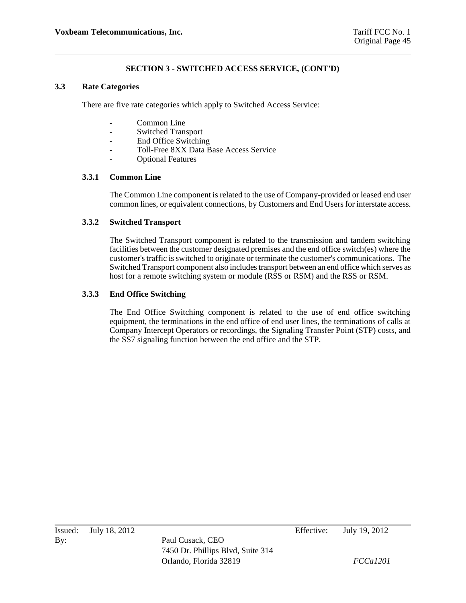#### **3.3 Rate Categories**

There are five rate categories which apply to Switched Access Service:

- Common Line
- Switched Transport
- End Office Switching
- Toll-Free 8XX Data Base Access Service
- Optional Features

#### **3.3.1 Common Line**

The Common Line component is related to the use of Company-provided or leased end user common lines, or equivalent connections, by Customers and End Users for interstate access.

#### **3.3.2 Switched Transport**

The Switched Transport component is related to the transmission and tandem switching facilities between the customer designated premises and the end office switch(es) where the customer's traffic is switched to originate or terminate the customer's communications. The Switched Transport component also includes transport between an end office which serves as host for a remote switching system or module (RSS or RSM) and the RSS or RSM.

#### **3.3.3 End Office Switching**

The End Office Switching component is related to the use of end office switching equipment, the terminations in the end office of end user lines, the terminations of calls at Company Intercept Operators or recordings, the Signaling Transfer Point (STP) costs, and the SS7 signaling function between the end office and the STP.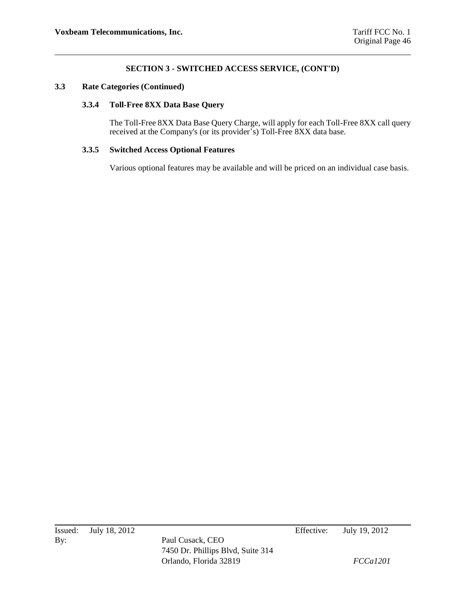#### **3.3 Rate Categories (Continued)**

#### **3.3.4 Toll-Free 8XX Data Base Query**

The Toll-Free 8XX Data Base Query Charge, will apply for each Toll-Free 8XX call query received at the Company's (or its provider's) Toll-Free 8XX data base.

#### **3.3.5 Switched Access Optional Features**

Various optional features may be available and will be priced on an individual case basis.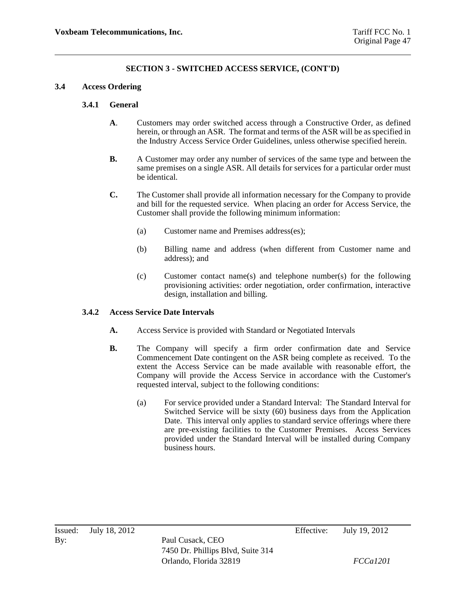#### **3.4 Access Ordering**

#### **3.4.1 General**

- **A**. Customers may order switched access through a Constructive Order, as defined herein, or through an ASR. The format and terms of the ASR will be as specified in the Industry Access Service Order Guidelines, unless otherwise specified herein.
- **B.** A Customer may order any number of services of the same type and between the same premises on a single ASR. All details for services for a particular order must be identical.
- **C.** The Customer shall provide all information necessary for the Company to provide and bill for the requested service. When placing an order for Access Service, the Customer shall provide the following minimum information:
	- (a) Customer name and Premises address(es);
	- (b) Billing name and address (when different from Customer name and address); and
	- (c) Customer contact name(s) and telephone number(s) for the following provisioning activities: order negotiation, order confirmation, interactive design, installation and billing.

#### **3.4.2 Access Service Date Intervals**

- **A.** Access Service is provided with Standard or Negotiated Intervals
- **B.** The Company will specify a firm order confirmation date and Service Commencement Date contingent on the ASR being complete as received. To the extent the Access Service can be made available with reasonable effort, the Company will provide the Access Service in accordance with the Customer's requested interval, subject to the following conditions:
	- (a) For service provided under a Standard Interval: The Standard Interval for Switched Service will be sixty (60) business days from the Application Date. This interval only applies to standard service offerings where there are pre-existing facilities to the Customer Premises. Access Services provided under the Standard Interval will be installed during Company business hours.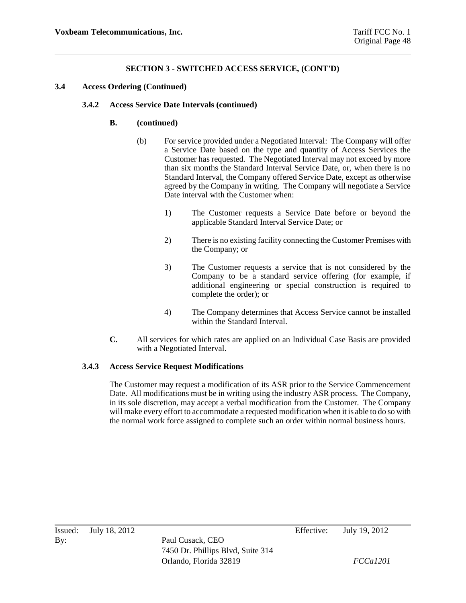#### **3.4 Access Ordering (Continued)**

#### **3.4.2 Access Service Date Intervals (continued)**

#### **B. (continued)**

- (b) For service provided under a Negotiated Interval: The Company will offer a Service Date based on the type and quantity of Access Services the Customer has requested. The Negotiated Interval may not exceed by more than six months the Standard Interval Service Date, or, when there is no Standard Interval, the Company offered Service Date, except as otherwise agreed by the Company in writing. The Company will negotiate a Service Date interval with the Customer when:
	- 1) The Customer requests a Service Date before or beyond the applicable Standard Interval Service Date; or
	- 2) There is no existing facility connecting the Customer Premises with the Company; or
	- 3) The Customer requests a service that is not considered by the Company to be a standard service offering (for example, if additional engineering or special construction is required to complete the order); or
	- 4) The Company determines that Access Service cannot be installed within the Standard Interval.
- **C.** All services for which rates are applied on an Individual Case Basis are provided with a Negotiated Interval.

#### **3.4.3 Access Service Request Modifications**

The Customer may request a modification of its ASR prior to the Service Commencement Date. All modifications must be in writing using the industry ASR process. The Company, in its sole discretion, may accept a verbal modification from the Customer. The Company will make every effort to accommodate a requested modification when it is able to do so with the normal work force assigned to complete such an order within normal business hours.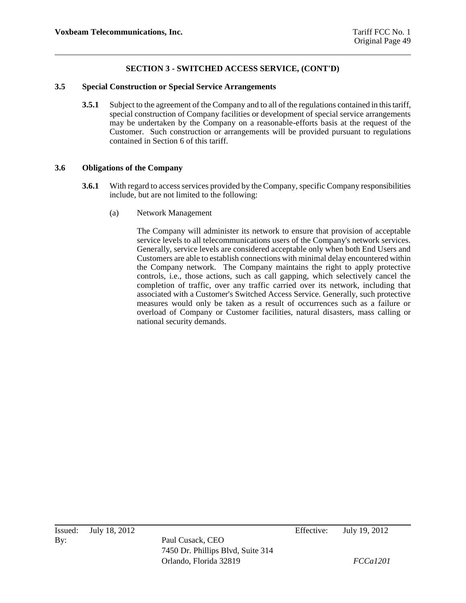#### **3.5 Special Construction or Special Service Arrangements**

**3.5.1** Subject to the agreement of the Company and to all of the regulations contained in this tariff, special construction of Company facilities or development of special service arrangements may be undertaken by the Company on a reasonable-efforts basis at the request of the Customer. Such construction or arrangements will be provided pursuant to regulations contained in Section 6 of this tariff.

#### **3.6 Obligations of the Company**

- **3.6.1** With regard to access services provided by the Company, specific Company responsibilities include, but are not limited to the following:
	- (a) Network Management

The Company will administer its network to ensure that provision of acceptable service levels to all telecommunications users of the Company's network services. Generally, service levels are considered acceptable only when both End Users and Customers are able to establish connections with minimal delay encountered within the Company network. The Company maintains the right to apply protective controls, i.e., those actions, such as call gapping, which selectively cancel the completion of traffic, over any traffic carried over its network, including that associated with a Customer's Switched Access Service. Generally, such protective measures would only be taken as a result of occurrences such as a failure or overload of Company or Customer facilities, natural disasters, mass calling or national security demands.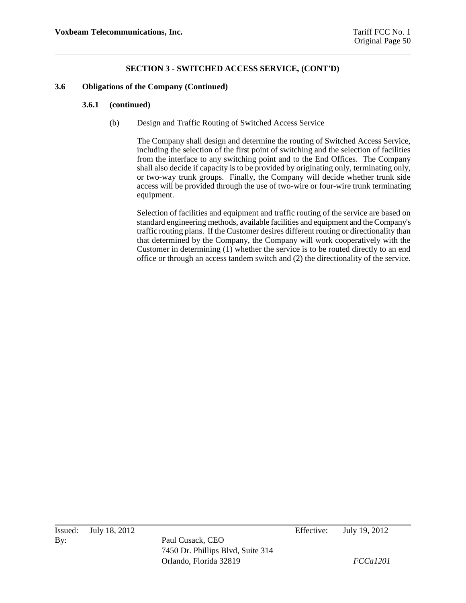#### **3.6 Obligations of the Company (Continued)**

#### **3.6.1 (continued)**

(b) Design and Traffic Routing of Switched Access Service

The Company shall design and determine the routing of Switched Access Service, including the selection of the first point of switching and the selection of facilities from the interface to any switching point and to the End Offices. The Company shall also decide if capacity is to be provided by originating only, terminating only, or two-way trunk groups. Finally, the Company will decide whether trunk side access will be provided through the use of two-wire or four-wire trunk terminating equipment.

Selection of facilities and equipment and traffic routing of the service are based on standard engineering methods, available facilities and equipment and the Company's traffic routing plans. If the Customer desires different routing or directionality than that determined by the Company, the Company will work cooperatively with the Customer in determining  $(1)$  whether the service is to be routed directly to an end office or through an access tandem switch and (2) the directionality of the service.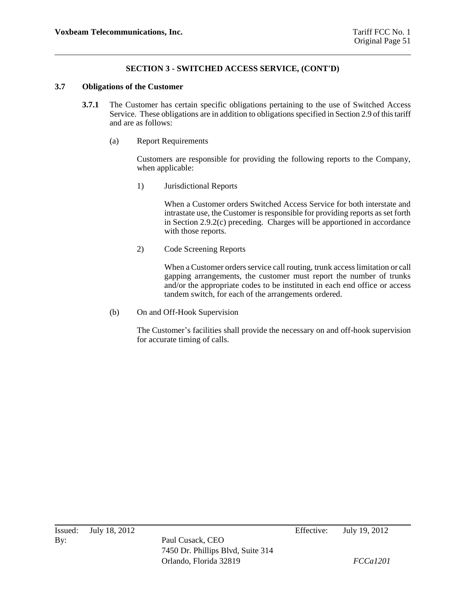#### **3.7 Obligations of the Customer**

- **3.7.1** The Customer has certain specific obligations pertaining to the use of Switched Access Service. These obligations are in addition to obligations specified in Section 2.9 of this tariff and are as follows:
	- (a) Report Requirements

Customers are responsible for providing the following reports to the Company, when applicable:

1) Jurisdictional Reports

When a Customer orders Switched Access Service for both interstate and intrastate use, the Customer is responsible for providing reports as set forth in Section 2.9.2(c) preceding. Charges will be apportioned in accordance with those reports.

2) Code Screening Reports

When a Customer orders service call routing, trunk access limitation or call gapping arrangements, the customer must report the number of trunks and/or the appropriate codes to be instituted in each end office or access tandem switch, for each of the arrangements ordered.

(b) On and Off-Hook Supervision

The Customer's facilities shall provide the necessary on and off-hook supervision for accurate timing of calls.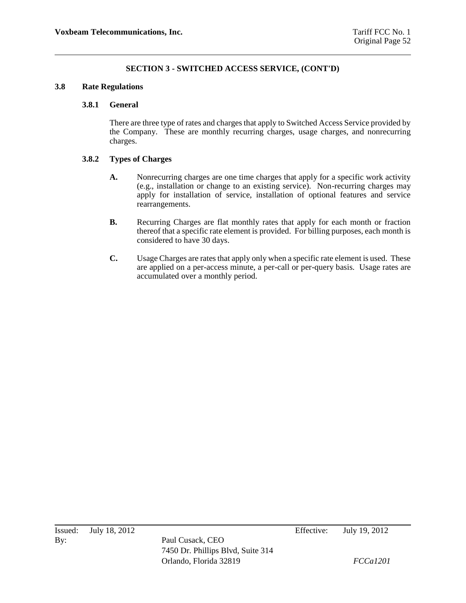#### **3.8 Rate Regulations**

#### **3.8.1 General**

There are three type of rates and charges that apply to Switched Access Service provided by the Company. These are monthly recurring charges, usage charges, and nonrecurring charges.

#### **3.8.2 Types of Charges**

- **A.** Nonrecurring charges are one time charges that apply for a specific work activity (e.g., installation or change to an existing service). Non-recurring charges may apply for installation of service, installation of optional features and service rearrangements.
- **B.** Recurring Charges are flat monthly rates that apply for each month or fraction thereof that a specific rate element is provided. For billing purposes, each month is considered to have 30 days.
- **C.** Usage Charges are rates that apply only when a specific rate element is used. These are applied on a per-access minute, a per-call or per-query basis. Usage rates are accumulated over a monthly period.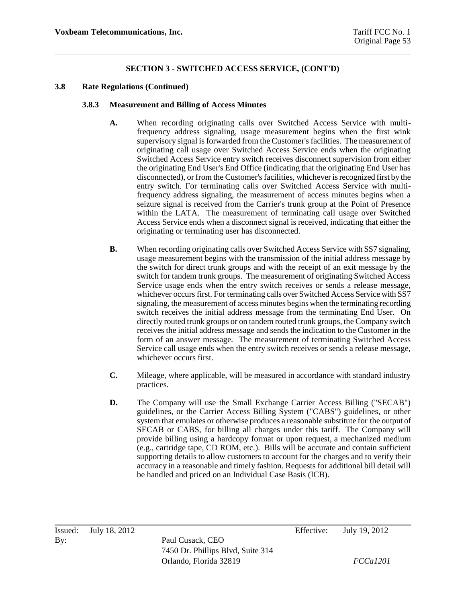#### **3.8 Rate Regulations (Continued)**

#### **3.8.3 Measurement and Billing of Access Minutes**

- **A.** When recording originating calls over Switched Access Service with multifrequency address signaling, usage measurement begins when the first wink supervisory signal is forwarded from the Customer's facilities. The measurement of originating call usage over Switched Access Service ends when the originating Switched Access Service entry switch receives disconnect supervision from either the originating End User's End Office (indicating that the originating End User has disconnected), or from the Customer's facilities, whichever is recognized first by the entry switch. For terminating calls over Switched Access Service with multifrequency address signaling, the measurement of access minutes begins when a seizure signal is received from the Carrier's trunk group at the Point of Presence within the LATA. The measurement of terminating call usage over Switched Access Service ends when a disconnect signal is received, indicating that either the originating or terminating user has disconnected.
- **B.** When recording originating calls over Switched Access Service with SS7 signaling, usage measurement begins with the transmission of the initial address message by the switch for direct trunk groups and with the receipt of an exit message by the switch for tandem trunk groups. The measurement of originating Switched Access Service usage ends when the entry switch receives or sends a release message, whichever occurs first. For terminating calls over Switched Access Service with SS7 signaling, the measurement of access minutes begins when the terminating recording switch receives the initial address message from the terminating End User. On directly routed trunk groups or on tandem routed trunk groups, the Company switch receives the initial address message and sends the indication to the Customer in the form of an answer message. The measurement of terminating Switched Access Service call usage ends when the entry switch receives or sends a release message, whichever occurs first.
- **C.** Mileage, where applicable, will be measured in accordance with standard industry practices.
- **D.** The Company will use the Small Exchange Carrier Access Billing ("SECAB") guidelines, or the Carrier Access Billing System ("CABS") guidelines, or other system that emulates or otherwise produces a reasonable substitute for the output of SECAB or CABS, for billing all charges under this tariff. The Company will provide billing using a hardcopy format or upon request, a mechanized medium (e.g., cartridge tape, CD ROM, etc.). Bills will be accurate and contain sufficient supporting details to allow customers to account for the charges and to verify their accuracy in a reasonable and timely fashion. Requests for additional bill detail will be handled and priced on an Individual Case Basis (ICB).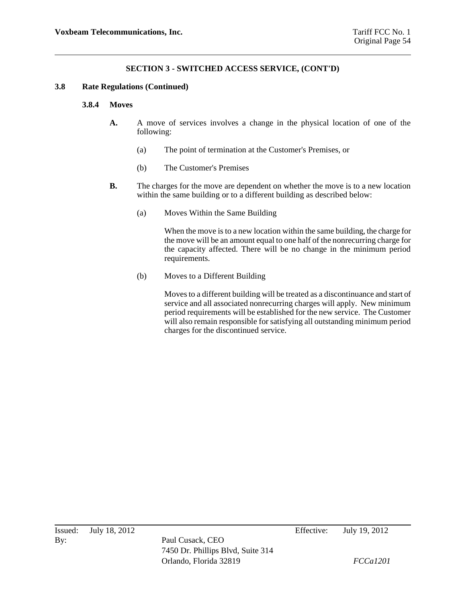#### **3.8 Rate Regulations (Continued)**

#### **3.8.4 Moves**

- **A.** A move of services involves a change in the physical location of one of the following:
	- (a) The point of termination at the Customer's Premises, or
	- (b) The Customer's Premises
- **B.** The charges for the move are dependent on whether the move is to a new location within the same building or to a different building as described below:
	- (a) Moves Within the Same Building

When the move is to a new location within the same building, the charge for the move will be an amount equal to one half of the nonrecurring charge for the capacity affected. There will be no change in the minimum period requirements.

(b) Moves to a Different Building

Moves to a different building will be treated as a discontinuance and start of service and all associated nonrecurring charges will apply. New minimum period requirements will be established for the new service. The Customer will also remain responsible for satisfying all outstanding minimum period charges for the discontinued service.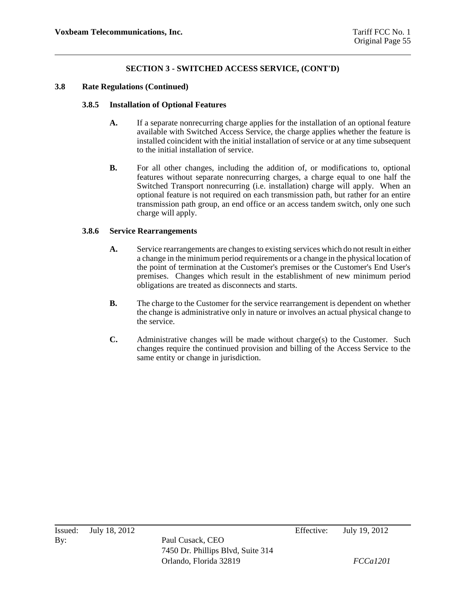#### **3.8 Rate Regulations (Continued)**

#### **3.8.5 Installation of Optional Features**

- **A.** If a separate nonrecurring charge applies for the installation of an optional feature available with Switched Access Service, the charge applies whether the feature is installed coincident with the initial installation of service or at any time subsequent to the initial installation of service.
- **B.** For all other changes, including the addition of, or modifications to, optional features without separate nonrecurring charges, a charge equal to one half the Switched Transport nonrecurring (i.e. installation) charge will apply. When an optional feature is not required on each transmission path, but rather for an entire transmission path group, an end office or an access tandem switch, only one such charge will apply.

#### **3.8.6 Service Rearrangements**

- **A.** Service rearrangements are changes to existing services which do not result in either a change in the minimum period requirements or a change in the physical location of the point of termination at the Customer's premises or the Customer's End User's premises. Changes which result in the establishment of new minimum period obligations are treated as disconnects and starts.
- **B.** The charge to the Customer for the service rearrangement is dependent on whether the change is administrative only in nature or involves an actual physical change to the service.
- **C.** Administrative changes will be made without charge(s) to the Customer. Such changes require the continued provision and billing of the Access Service to the same entity or change in jurisdiction.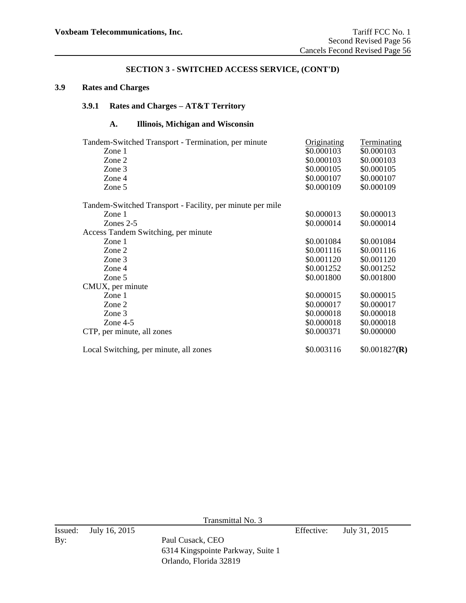## **3.9 Rates and Charges**

# **3.9.1 Rates and Charges – AT&T Territory**

# **A. Illinois, Michigan and Wisconsin**

| Tandem-Switched Transport - Termination, per minute       | Originating | Terminating   |
|-----------------------------------------------------------|-------------|---------------|
| Zone 1                                                    | \$0.000103  | \$0.000103    |
| Zone 2                                                    | \$0.000103  | \$0.000103    |
| Zone 3                                                    | \$0.000105  | \$0.000105    |
| Zone 4                                                    | \$0.000107  | \$0.000107    |
| Zone 5                                                    | \$0.000109  | \$0.000109    |
| Tandem-Switched Transport - Facility, per minute per mile |             |               |
| Zone 1                                                    | \$0.000013  | \$0.000013    |
| Zones $2-5$                                               | \$0.000014  | \$0.000014    |
| Access Tandem Switching, per minute                       |             |               |
| Zone 1                                                    | \$0.001084  | \$0.001084    |
| Zone 2                                                    | \$0.001116  | \$0.001116    |
| Zone 3                                                    | \$0.001120  | \$0.001120    |
| Zone 4                                                    | \$0.001252  | \$0.001252    |
| Zone 5                                                    | \$0.001800  | \$0.001800    |
| CMUX, per minute                                          |             |               |
| Zone $1$                                                  | \$0.000015  | \$0.000015    |
| Zone 2                                                    | \$0.000017  | \$0.000017    |
| Zone 3                                                    | \$0.000018  | \$0.000018    |
| Zone $4-5$                                                | \$0.000018  | \$0.000018    |
| CTP, per minute, all zones                                | \$0.000371  | \$0.000000    |
| Local Switching, per minute, all zones                    | \$0.003116  | \$0.001827(R) |

Transmittal No. 3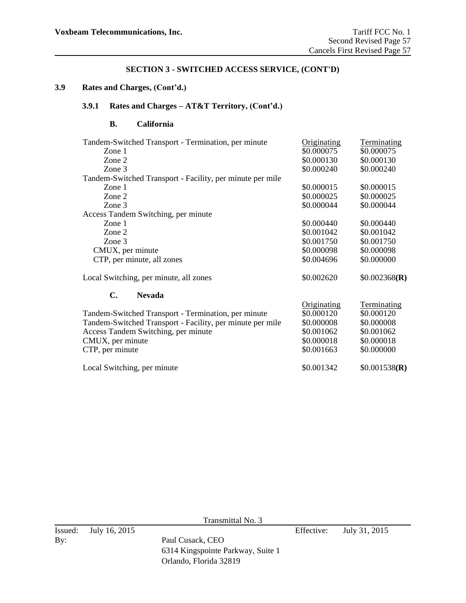## **3.9 Rates and Charges, (Cont'd.)**

# **3.9.1 Rates and Charges – AT&T Territory, (Cont'd.)**

## **B. California**

| Tandem-Switched Transport - Termination, per minute       | Originating | Terminating   |
|-----------------------------------------------------------|-------------|---------------|
| Zone 1                                                    | \$0.000075  | \$0.000075    |
| Zone 2                                                    | \$0.000130  | \$0.000130    |
| Zone 3                                                    | \$0.000240  | \$0.000240    |
| Tandem-Switched Transport - Facility, per minute per mile |             |               |
| Zone 1                                                    | \$0.000015  | \$0.000015    |
| Zone 2                                                    | \$0.000025  | \$0.000025    |
| Zone 3                                                    | \$0.000044  | \$0.000044    |
| Access Tandem Switching, per minute                       |             |               |
| Zone 1                                                    | \$0.000440  | \$0.000440    |
| Zone 2                                                    | \$0.001042  | \$0.001042    |
| Zone 3                                                    | \$0.001750  | \$0.001750    |
| CMUX, per minute                                          | \$0.000098  | \$0.000098    |
| CTP, per minute, all zones                                | \$0.004696  | \$0.000000    |
| Local Switching, per minute, all zones                    | \$0.002620  | \$0.002368(R) |
| C.<br><b>Nevada</b>                                       |             |               |
|                                                           | Originating | Terminating   |
| Tandem-Switched Transport - Termination, per minute       | \$0.000120  | \$0.000120    |
| Tandem-Switched Transport - Facility, per minute per mile | \$0.000008  | \$0.000008    |
| Access Tandem Switching, per minute                       | \$0.001062  | \$0.001062    |
| CMUX, per minute                                          | \$0.000018  | \$0.000018    |
| CTP, per minute                                           | \$0.001663  | \$0.000000    |
| Local Switching, per minute                               | \$0.001342  | \$0.001538(R) |

Transmittal No. 3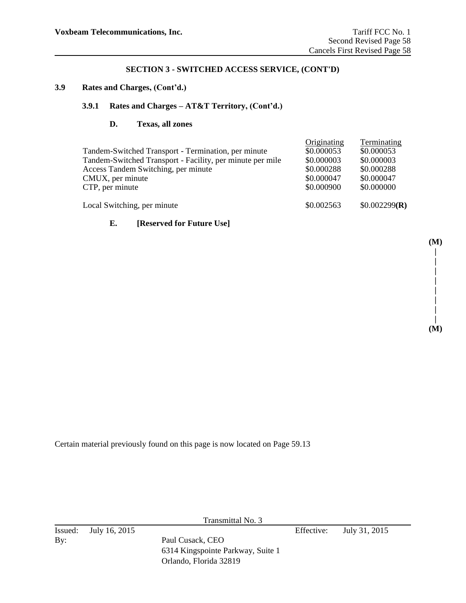## **3.9 Rates and Charges, (Cont'd.)**

## **3.9.1 Rates and Charges – AT&T Territory, (Cont'd.)**

#### **D. Texas, all zones**

| Tandem-Switched Transport - Termination, per minute<br>Tandem-Switched Transport - Facility, per minute per mile<br>Access Tandem Switching, per minute<br>CMUX, per minute<br>CTP, per minute | Originating<br>\$0.000053<br>\$0.000003<br>\$0.000288<br>\$0.000047<br>\$0.000900 | Terminating<br>\$0.000053<br>\$0.000003<br>\$0.000288<br>\$0.000047<br>\$0.000000 |
|------------------------------------------------------------------------------------------------------------------------------------------------------------------------------------------------|-----------------------------------------------------------------------------------|-----------------------------------------------------------------------------------|
| Local Switching, per minute                                                                                                                                                                    | \$0.002563                                                                        | \$0.002299(R)                                                                     |
|                                                                                                                                                                                                |                                                                                   |                                                                                   |

## **E. [Reserved for Future Use]**

Certain material previously found on this page is now located on Page 59.13

Transmittal No. 3

Issued: July 16, 2015 Effective: July 31, 2015 By: Paul Cusack, CEO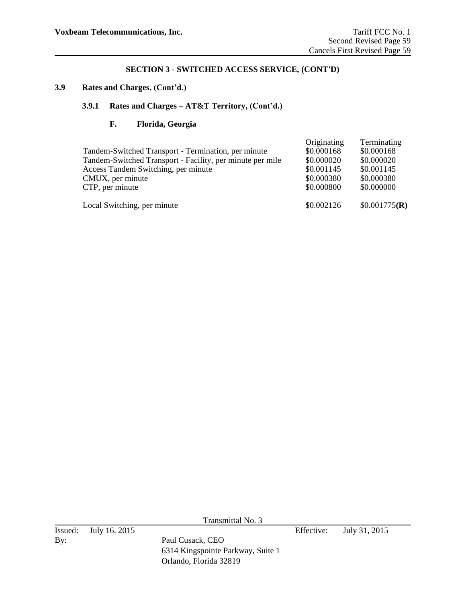#### **3.9 Rates and Charges, (Cont'd.)**

# **3.9.1 Rates and Charges – AT&T Territory, (Cont'd.)**

# **F. Florida, Georgia**

| Tandem-Switched Transport - Termination, per minute<br>Tandem-Switched Transport - Facility, per minute per mile<br>Access Tandem Switching, per minute<br>CMUX, per minute<br>CTP, per minute | Originating<br>\$0.000168<br>\$0.000020<br>\$0.001145<br>\$0.000380<br>\$0.000800 | Terminating<br>\$0.000168<br>\$0.000020<br>\$0.001145<br>\$0.000380<br>\$0.000000 |
|------------------------------------------------------------------------------------------------------------------------------------------------------------------------------------------------|-----------------------------------------------------------------------------------|-----------------------------------------------------------------------------------|
| Local Switching, per minute                                                                                                                                                                    | \$0.002126                                                                        | \$0.001775(R)                                                                     |

Transmittal No. 3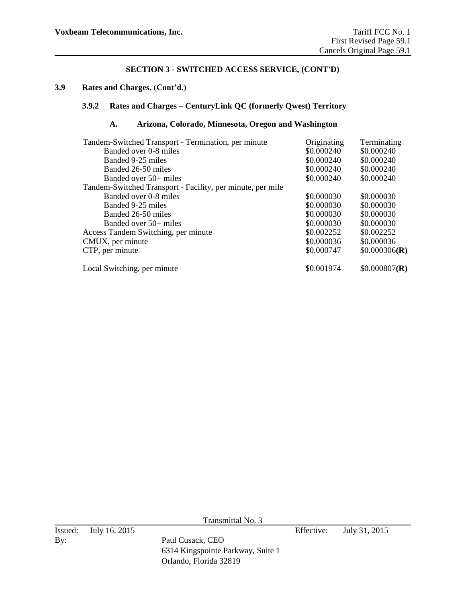## **3.9 Rates and Charges, (Cont'd.)**

## **3.9.2 Rates and Charges – CenturyLink QC (formerly Qwest) Territory**

# **A. Arizona, Colorado, Minnesota, Oregon and Washington**

| Tandem-Switched Transport - Termination, per minute<br>Banded over 0-8 miles<br>Banded 9-25 miles<br>Banded 26-50 miles | Originating<br>\$0.000240<br>\$0.000240<br>\$0.000240 | Terminating<br>\$0.000240<br>\$0.000240<br>\$0.000240 |
|-------------------------------------------------------------------------------------------------------------------------|-------------------------------------------------------|-------------------------------------------------------|
| Banded over $50+$ miles                                                                                                 | \$0.000240                                            | \$0.000240                                            |
| Tandem-Switched Transport - Facility, per minute, per mile                                                              |                                                       |                                                       |
| Banded over 0-8 miles                                                                                                   | \$0.000030                                            | \$0.000030                                            |
| Banded 9-25 miles                                                                                                       | \$0.000030                                            | \$0.000030                                            |
| Banded 26-50 miles                                                                                                      | \$0.000030                                            | \$0.000030                                            |
| Banded over $50+$ miles                                                                                                 | \$0.000030                                            | \$0.000030                                            |
| Access Tandem Switching, per minute                                                                                     | \$0.002252                                            | \$0.002252                                            |
| CMUX, per minute                                                                                                        | \$0.000036                                            | \$0.000036                                            |
| CTP, per minute                                                                                                         | \$0.000747                                            | \$0.000306(R)                                         |
| Local Switching, per minute                                                                                             | \$0.001974                                            | \$0.000807(R)                                         |

Transmittal No. 3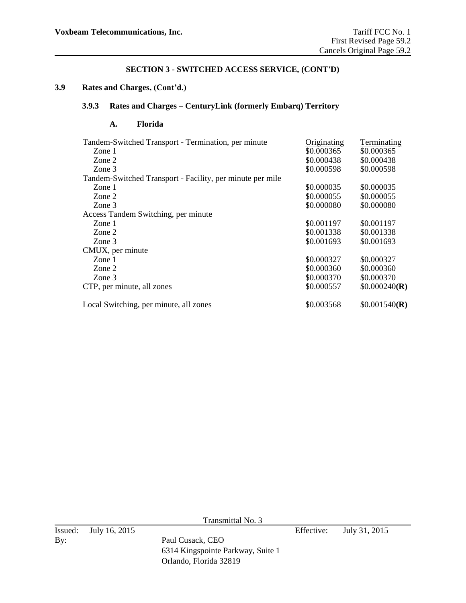## **3.9 Rates and Charges, (Cont'd.)**

## **3.9.3 Rates and Charges – CenturyLink (formerly Embarq) Territory**

## **A. Florida**

| Tandem-Switched Transport - Termination, per minute       | Originating | <b>Terminating</b> |
|-----------------------------------------------------------|-------------|--------------------|
| Zone 1                                                    | \$0.000365  | \$0.000365         |
| Zone 2                                                    | \$0.000438  | \$0.000438         |
| Zone 3                                                    | \$0.000598  | \$0.000598         |
| Tandem-Switched Transport - Facility, per minute per mile |             |                    |
| Zone 1                                                    | \$0.000035  | \$0.000035         |
| Zone 2                                                    | \$0.000055  | \$0.000055         |
| Zone 3                                                    | \$0.000080  | \$0.000080         |
| Access Tandem Switching, per minute                       |             |                    |
| Zone 1                                                    | \$0.001197  | \$0.001197         |
| Zone 2                                                    | \$0.001338  | \$0.001338         |
| Zone 3                                                    | \$0.001693  | \$0.001693         |
| CMUX, per minute                                          |             |                    |
| Zone 1                                                    | \$0.000327  | \$0.000327         |
| Zone 2                                                    | \$0.000360  | \$0.000360         |
| Zone 3                                                    | \$0.000370  | \$0.000370         |
| CTP, per minute, all zones                                | \$0.000557  | \$0.000240(R)      |
| Local Switching, per minute, all zones                    | \$0.003568  | \$0.001540(R)      |

Transmittal No. 3

6314 Kingspointe Parkway, Suite 1 Orlando, Florida 32819

Issued: July 16, 2015 Effective: July 31, 2015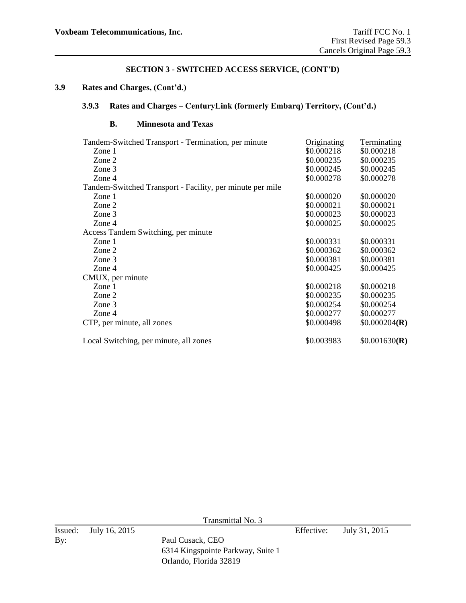## **3.9 Rates and Charges, (Cont'd.)**

## **3.9.3 Rates and Charges – CenturyLink (formerly Embarq) Territory, (Cont'd.)**

## **B. Minnesota and Texas**

| Tandem-Switched Transport - Termination, per minute       | Originating | Terminating   |
|-----------------------------------------------------------|-------------|---------------|
| Zone 1                                                    | \$0.000218  | \$0.000218    |
| Zone 2                                                    | \$0.000235  | \$0.000235    |
| Zone 3                                                    | \$0.000245  | \$0.000245    |
| Zone 4                                                    | \$0.000278  | \$0.000278    |
| Tandem-Switched Transport - Facility, per minute per mile |             |               |
| Zone 1                                                    | \$0.000020  | \$0.000020    |
| Zone 2                                                    | \$0.000021  | \$0.000021    |
| Zone 3                                                    | \$0.000023  | \$0.000023    |
| Zone 4                                                    | \$0.000025  | \$0.000025    |
| Access Tandem Switching, per minute                       |             |               |
| Zone 1                                                    | \$0.000331  | \$0.000331    |
| Zone 2                                                    | \$0.000362  | \$0.000362    |
| Zone 3                                                    | \$0.000381  | \$0.000381    |
| Zone 4                                                    | \$0.000425  | \$0.000425    |
| CMUX, per minute                                          |             |               |
| Zone 1                                                    | \$0.000218  | \$0.000218    |
| Zone 2                                                    | \$0.000235  | \$0.000235    |
| Zone 3                                                    | \$0.000254  | \$0.000254    |
| Zone 4                                                    | \$0.000277  | \$0.000277    |
| CTP, per minute, all zones                                | \$0.000498  | \$0.000204(R) |
| Local Switching, per minute, all zones                    | \$0.003983  | \$0.001630(R) |

Transmittal No. 3

6314 Kingspointe Parkway, Suite 1 Orlando, Florida 32819

Issued: July 16, 2015 Effective: July 31, 2015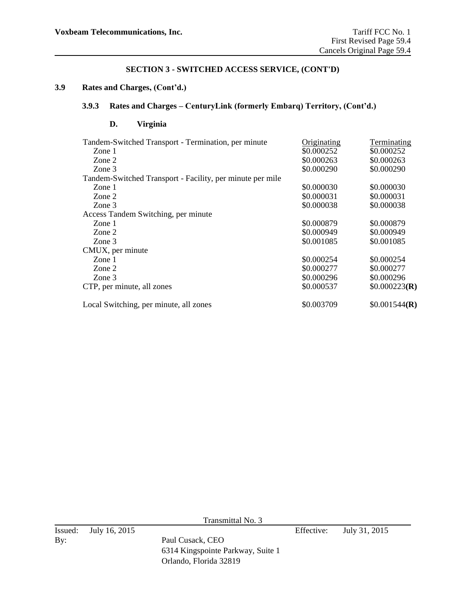## **3.9 Rates and Charges, (Cont'd.)**

## **3.9.3 Rates and Charges – CenturyLink (formerly Embarq) Territory, (Cont'd.)**

# **D. Virginia**

| Tandem-Switched Transport - Termination, per minute       | Originating | Terminating   |
|-----------------------------------------------------------|-------------|---------------|
| Zone 1                                                    | \$0.000252  | \$0.000252    |
| Zone 2                                                    | \$0.000263  | \$0.000263    |
| Zone 3                                                    | \$0.000290  | \$0.000290    |
| Tandem-Switched Transport - Facility, per minute per mile |             |               |
| Zone 1                                                    | \$0.000030  | \$0.000030    |
| Zone 2                                                    | \$0.000031  | \$0.000031    |
| Zone 3                                                    | \$0.000038  | \$0.000038    |
| Access Tandem Switching, per minute                       |             |               |
| Zone 1                                                    | \$0.000879  | \$0.000879    |
| Zone 2                                                    | \$0.000949  | \$0.000949    |
| Zone 3                                                    | \$0.001085  | \$0.001085    |
| CMUX, per minute                                          |             |               |
| Zone 1                                                    | \$0.000254  | \$0.000254    |
| Zone 2                                                    | \$0.000277  | \$0.000277    |
| Zone 3                                                    | \$0.000296  | \$0.000296    |
| CTP, per minute, all zones                                | \$0.000537  | \$0.000223(R) |
| Local Switching, per minute, all zones                    | \$0.003709  | \$0.001544(R) |

Transmittal No. 3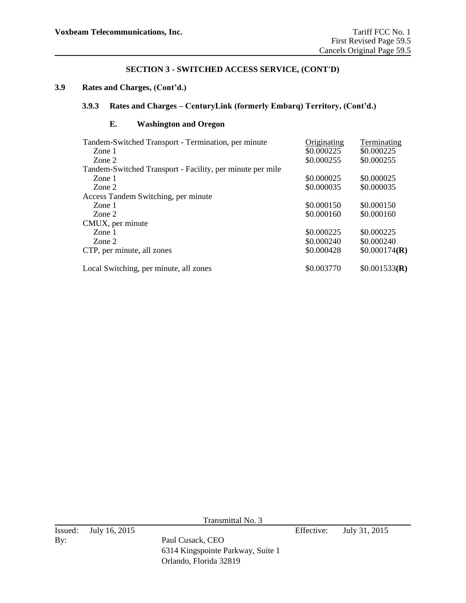## **3.9 Rates and Charges, (Cont'd.)**

## **3.9.3 Rates and Charges – CenturyLink (formerly Embarq) Territory, (Cont'd.)**

## **E. Washington and Oregon**

| Tandem-Switched Transport - Termination, per minute       | Originating | Terminating   |
|-----------------------------------------------------------|-------------|---------------|
| Zone 1                                                    | \$0.000225  | \$0.000225    |
| Zone 2                                                    | \$0.000255  | \$0.000255    |
| Tandem-Switched Transport - Facility, per minute per mile |             |               |
| Zone 1                                                    | \$0.000025  | \$0.000025    |
| Zone 2                                                    | \$0.000035  | \$0.000035    |
| Access Tandem Switching, per minute                       |             |               |
| Zone 1                                                    | \$0.000150  | \$0.000150    |
| Zone 2                                                    | \$0.000160  | \$0.000160    |
| CMUX, per minute                                          |             |               |
| Zone 1                                                    | \$0.000225  | \$0.000225    |
| Zone 2                                                    | \$0.000240  | \$0.000240    |
| CTP, per minute, all zones                                | \$0.000428  | \$0.000174(R) |
| Local Switching, per minute, all zones                    | \$0.003770  | \$0.001533(R) |

Transmittal No. 3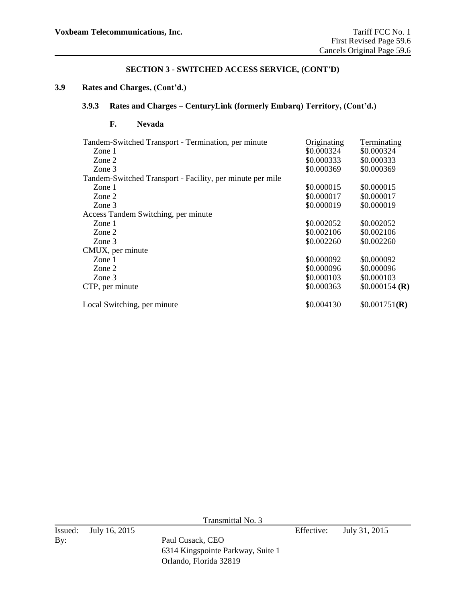# **3.9 Rates and Charges, (Cont'd.)**

## **3.9.3 Rates and Charges – CenturyLink (formerly Embarq) Territory, (Cont'd.)**

## **F. Nevada**

| Tandem-Switched Transport - Termination, per minute       | Originating | Terminating     |
|-----------------------------------------------------------|-------------|-----------------|
| Zone 1                                                    | \$0.000324  | \$0.000324      |
| Zone 2                                                    | \$0.000333  | \$0.000333      |
| Zone 3                                                    | \$0.000369  | \$0.000369      |
| Tandem-Switched Transport - Facility, per minute per mile |             |                 |
| Zone 1                                                    | \$0.000015  | \$0.000015      |
| Zone 2                                                    | \$0.000017  | \$0.000017      |
| Zone 3                                                    | \$0.000019  | \$0.000019      |
| Access Tandem Switching, per minute                       |             |                 |
| Zone 1                                                    | \$0.002052  | \$0.002052      |
| Zone 2                                                    | \$0.002106  | \$0.002106      |
| Zone 3                                                    | \$0.002260  | \$0.002260      |
| CMUX, per minute                                          |             |                 |
| Zone 1                                                    | \$0.000092  | \$0.000092      |
| Zone 2                                                    | \$0.000096  | \$0.000096      |
| Zone 3                                                    | \$0.000103  | \$0.000103      |
| CTP, per minute                                           | \$0.000363  | $$0.000154$ (R) |
| Local Switching, per minute                               | \$0.004130  | \$0.001751(R)   |

Transmittal No. 3

6314 Kingspointe Parkway, Suite 1 Orlando, Florida 32819

Issued: July 16, 2015 Effective: July 31, 2015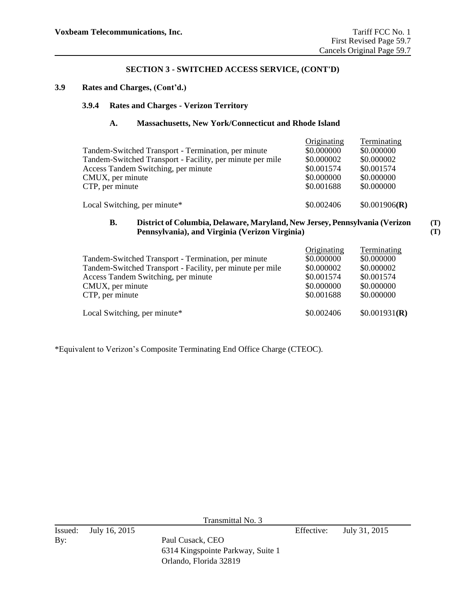## **3.9 Rates and Charges, (Cont'd.)**

## **3.9.4 Rates and Charges - Verizon Territory**

#### **A. Massachusetts, New York/Connecticut and Rhode Island**

| Tandem-Switched Transport - Termination, per minute<br>Tandem-Switched Transport - Facility, per minute per mile<br>Access Tandem Switching, per minute<br>CMUX, per minute<br>CTP, per minute | Originating<br>\$0.000000<br>\$0.000002<br>\$0.001574<br>\$0.000000<br>\$0.001688 | Terminating<br>\$0.000000<br>\$0.000002<br>\$0.001574<br>\$0.000000<br>\$0.000000 |
|------------------------------------------------------------------------------------------------------------------------------------------------------------------------------------------------|-----------------------------------------------------------------------------------|-----------------------------------------------------------------------------------|
|                                                                                                                                                                                                |                                                                                   |                                                                                   |
| Local Switching, per minute*                                                                                                                                                                   | \$0.002406                                                                        | \$0.001906(R)                                                                     |

#### **B. District of Columbia, Delaware, Maryland, New Jersey, Pennsylvania (Verizon Pennsylvania), and Virginia (Verizon Virginia) (T) (T)**

| Tandem-Switched Transport - Termination, per minute<br>Tandem-Switched Transport - Facility, per minute per mile<br>Access Tandem Switching, per minute | Originating<br>\$0.000000<br>\$0.000002<br>\$0.001574 | Terminating<br>\$0.000000<br>\$0.000002<br>\$0.001574 |
|---------------------------------------------------------------------------------------------------------------------------------------------------------|-------------------------------------------------------|-------------------------------------------------------|
| CMUX, per minute<br>CTP, per minute                                                                                                                     | \$0.000000<br>\$0.001688                              | \$0.000000<br>\$0.000000                              |
| Local Switching, per minute*                                                                                                                            | \$0.002406                                            | \$0.001931(R)                                         |

\*Equivalent to Verizon's Composite Terminating End Office Charge (CTEOC).

Transmittal No. 3

6314 Kingspointe Parkway, Suite 1 Orlando, Florida 32819

Issued: July 16, 2015 Effective: July 31, 2015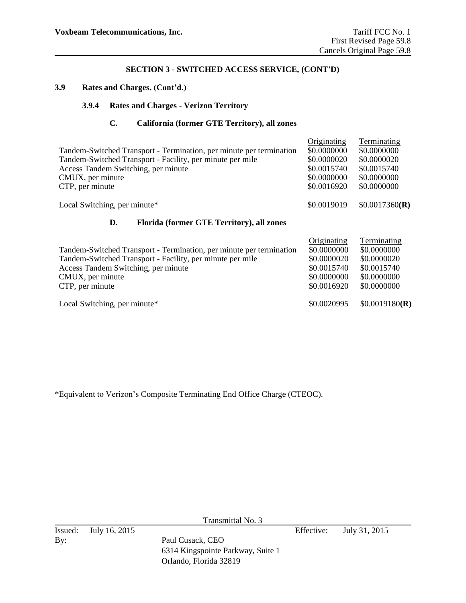## **3.9 Rates and Charges, (Cont'd.)**

## **3.9.4 Rates and Charges - Verizon Territory**

## **C. California (former GTE Territory), all zones**

| Tandem-Switched Transport - Termination, per minute per termination<br>Tandem-Switched Transport - Facility, per minute per mile<br>Access Tandem Switching, per minute<br>CMUX, per minute<br>CTP, per minute | Originating<br>\$0.0000000<br>\$0.0000020<br>\$0.0015740<br>\$0.0000000<br>\$0.0016920 | Terminating<br>\$0.0000000<br>\$0.0000020<br>\$0.0015740<br>\$0.0000000<br>\$0.0000000 |
|----------------------------------------------------------------------------------------------------------------------------------------------------------------------------------------------------------------|----------------------------------------------------------------------------------------|----------------------------------------------------------------------------------------|
| Local Switching, per minute*                                                                                                                                                                                   | \$0.0019019                                                                            | \$0.0017360(R)                                                                         |
| Florida (former GTE Territory), all zones<br>D.                                                                                                                                                                |                                                                                        |                                                                                        |
| Tandem-Switched Transport - Termination, per minute per termination<br>Tandem-Switched Transport - Facility, per minute per mile<br>Access Tandem Switching, per minute<br>CMUX, per minute<br>CTP, per minute | Originating<br>\$0.0000000<br>\$0.0000020<br>\$0.0015740<br>\$0.0000000<br>\$0.0016920 | Terminating<br>\$0.0000000<br>\$0.0000020<br>\$0.0015740<br>\$0.0000000<br>\$0.0000000 |
| Local Switching, per minute*                                                                                                                                                                                   | \$0.0020995                                                                            | \$0.0019180(R)                                                                         |

\*Equivalent to Verizon's Composite Terminating End Office Charge (CTEOC).

Transmittal No. 3

Issued: July 16, 2015 Effective: July 31, 2015 By: Paul Cusack, CEO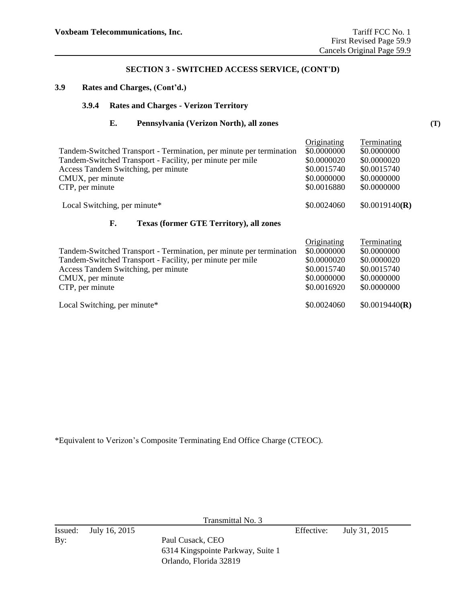## **3.9 Rates and Charges, (Cont'd.)**

## **3.9.4 Rates and Charges - Verizon Territory**

**E. Pennsylvania (Verizon North), all zones**

| Tandem-Switched Transport - Termination, per minute per termination<br>Tandem-Switched Transport - Facility, per minute per mile<br>Access Tandem Switching, per minute<br>CMUX, per minute<br>CTP, per minute | Originating<br>\$0.0000000<br>\$0.0000020<br>\$0.0015740<br>\$0.0000000<br>\$0.0016880 | Terminating<br>\$0.0000000<br>\$0.0000020<br>\$0.0015740<br>\$0.0000000<br>\$0.0000000 |
|----------------------------------------------------------------------------------------------------------------------------------------------------------------------------------------------------------------|----------------------------------------------------------------------------------------|----------------------------------------------------------------------------------------|
| Local Switching, per minute*                                                                                                                                                                                   | \$0.0024060                                                                            | \$0.0019140(R)                                                                         |

#### **F. Texas (former GTE Territory), all zones**

|                                                                     | Originating | Terminating    |
|---------------------------------------------------------------------|-------------|----------------|
| Tandem-Switched Transport - Termination, per minute per termination | \$0.0000000 | \$0.0000000    |
| Tandem-Switched Transport - Facility, per minute per mile           | \$0.0000020 | \$0.0000020    |
| Access Tandem Switching, per minute                                 | \$0.0015740 | \$0.0015740    |
| CMUX, per minute                                                    | \$0.0000000 | \$0.0000000    |
| CTP, per minute                                                     | \$0.0016920 | \$0.0000000    |
| Local Switching, per minute*                                        | \$0.0024060 | \$0.0019440(R) |

\*Equivalent to Verizon's Composite Terminating End Office Charge (CTEOC).

Transmittal No. 3

Issued: July 16, 2015 Effective: July 31, 2015 By: Paul Cusack, CEO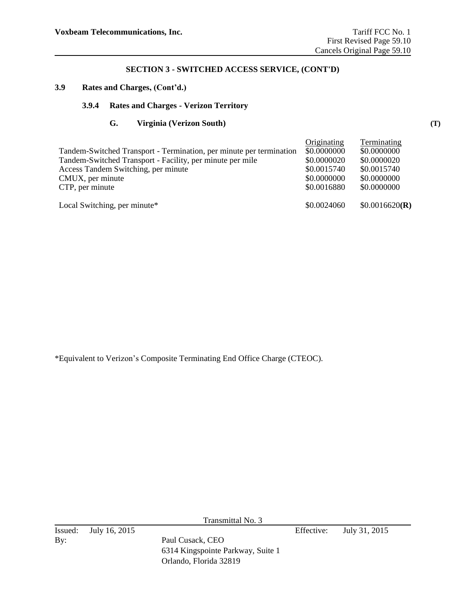## **3.9 Rates and Charges, (Cont'd.)**

## **3.9.4 Rates and Charges - Verizon Territory**

#### **G. Virginia (Verizon South)**

|                                                                     | Originating | Terminating    |
|---------------------------------------------------------------------|-------------|----------------|
| Tandem-Switched Transport - Termination, per minute per termination | \$0.0000000 | \$0.0000000    |
| Tandem-Switched Transport - Facility, per minute per mile           | \$0.0000020 | \$0.0000020    |
| Access Tandem Switching, per minute                                 | \$0.0015740 | \$0.0015740    |
| CMUX, per minute                                                    | \$0.0000000 | \$0.0000000    |
| CTP, per minute                                                     | \$0.0016880 | \$0.0000000    |
| Local Switching, per minute*                                        | \$0.0024060 | \$0.0016620(R) |

\*Equivalent to Verizon's Composite Terminating End Office Charge (CTEOC).

Transmittal No. 3

By: Paul Cusack, CEO

6314 Kingspointe Parkway, Suite 1 Orlando, Florida 32819

Issued: July 16, 2015 Effective: July 31, 2015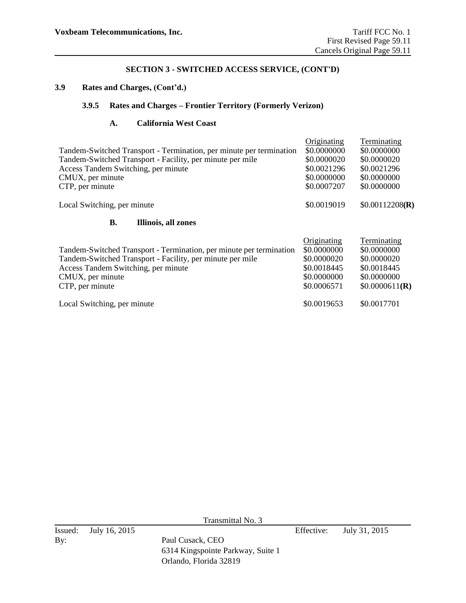## **3.9 Rates and Charges, (Cont'd.)**

## **3.9.5 Rates and Charges – Frontier Territory (Formerly Verizon)**

## **A. California West Coast**

|                                                                     | Originating | Terminating     |
|---------------------------------------------------------------------|-------------|-----------------|
| Tandem-Switched Transport - Termination, per minute per termination | \$0.0000000 | \$0.0000000     |
| Tandem-Switched Transport - Facility, per minute per mile           | \$0.0000020 | \$0.0000020     |
| Access Tandem Switching, per minute                                 | \$0.0021296 | \$0.0021296     |
| CMUX, per minute                                                    | \$0.0000000 | \$0.0000000     |
| CTP, per minute                                                     | \$0.0007207 | \$0.0000000     |
| Local Switching, per minute                                         | \$0.0019019 | \$0.00112208(R) |
| <b>B.</b><br>Illinois, all zones                                    |             |                 |
|                                                                     | Originating | Terminating     |
| Tandem-Switched Transport - Termination, per minute per termination | \$0.0000000 | \$0.0000000     |
| Tandem-Switched Transport - Facility, per minute per mile           | \$0.0000020 | \$0.0000020     |
| Access Tandem Switching, per minute                                 | \$0.0018445 | \$0.0018445     |
| CMUX, per minute                                                    | \$0.0000000 | \$0.0000000     |
| CTP, per minute                                                     | \$0.0006571 | \$0.0000611(R)  |
| Local Switching, per minute                                         | \$0.0019653 | \$0.0017701     |

Transmittal No. 3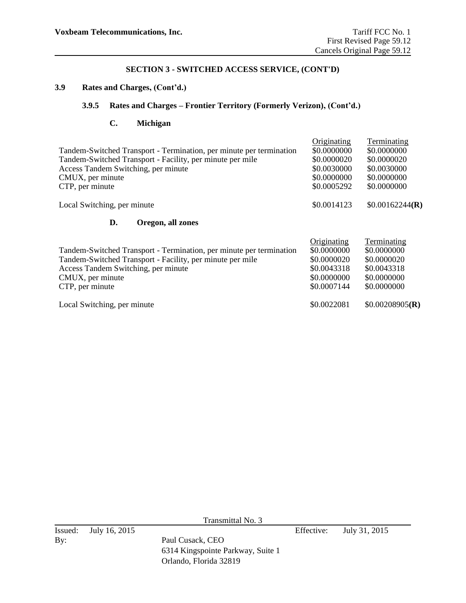#### **3.9 Rates and Charges, (Cont'd.)**

## **3.9.5 Rates and Charges – Frontier Territory (Formerly Verizon), (Cont'd.)**

## **C. Michigan**

| Tandem-Switched Transport - Termination, per minute per termination<br>Tandem-Switched Transport - Facility, per minute per mile<br>Access Tandem Switching, per minute<br>CMUX, per minute<br>CTP, per minute | Originating<br>\$0.0000000<br>\$0.0000020<br>\$0.0030000<br>\$0.0000000<br>\$0.0005292 | Terminating<br>\$0.0000000<br>\$0.0000020<br>\$0.0030000<br>\$0.0000000<br>\$0.0000000 |
|----------------------------------------------------------------------------------------------------------------------------------------------------------------------------------------------------------------|----------------------------------------------------------------------------------------|----------------------------------------------------------------------------------------|
| Local Switching, per minute                                                                                                                                                                                    | \$0.0014123                                                                            | \$0.00162244(R)                                                                        |
| D.<br>Oregon, all zones                                                                                                                                                                                        |                                                                                        |                                                                                        |
| Tandem-Switched Transport - Termination, per minute per termination<br>Tandem-Switched Transport - Facility, per minute per mile<br>Access Tandem Switching, per minute<br>CMUX, per minute<br>CTP, per minute | Originating<br>\$0.0000000<br>\$0.0000020<br>\$0.0043318<br>\$0.0000000<br>\$0.0007144 | Terminating<br>\$0.0000000<br>\$0.0000020<br>\$0.0043318<br>\$0.0000000<br>\$0.0000000 |
| Local Switching, per minute                                                                                                                                                                                    | \$0.0022081                                                                            | \$0.00208905(R)                                                                        |

Transmittal No. 3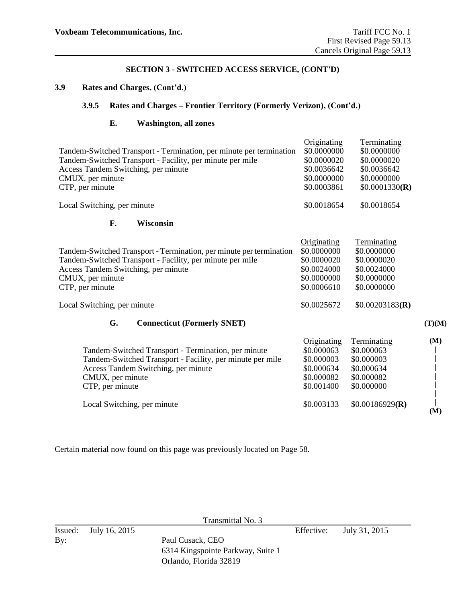# **3.9 Rates and Charges, (Cont'd.)**

## **3.9.5 Rates and Charges – Frontier Territory (Formerly Verizon), (Cont'd.)**

## **E. Washington, all zones**

| Tandem-Switched Transport - Termination, per minute per termination<br>Tandem-Switched Transport - Facility, per minute per mile<br>Access Tandem Switching, per minute<br>CMUX, per minute<br>CTP, per minute | Originating<br>\$0.0000000<br>\$0.0000020<br>\$0.0036642<br>\$0.0000000<br>\$0.0003861 | Terminating<br>\$0.0000000<br>\$0.0000020<br>\$0.0036642<br>\$0.0000000<br>\$0.0001330(R) |        |
|----------------------------------------------------------------------------------------------------------------------------------------------------------------------------------------------------------------|----------------------------------------------------------------------------------------|-------------------------------------------------------------------------------------------|--------|
| Local Switching, per minute                                                                                                                                                                                    | \$0.0018654                                                                            | \$0.0018654                                                                               |        |
| F.<br><b>Wisconsin</b>                                                                                                                                                                                         |                                                                                        |                                                                                           |        |
| Tandem-Switched Transport - Termination, per minute per termination<br>Tandem-Switched Transport - Facility, per minute per mile<br>Access Tandem Switching, per minute<br>CMUX, per minute<br>CTP, per minute | Originating<br>\$0.0000000<br>\$0.0000020<br>\$0.0024000<br>\$0.0000000<br>\$0.0006610 | Terminating<br>\$0.0000000<br>\$0.0000020<br>\$0.0024000<br>\$0.0000000<br>\$0.0000000    |        |
| Local Switching, per minute                                                                                                                                                                                    | \$0.0025672                                                                            | \$0.00203183(R)                                                                           |        |
| G.<br><b>Connecticut (Formerly SNET)</b>                                                                                                                                                                       |                                                                                        |                                                                                           | (T)(M) |
| Tandem-Switched Transport - Termination, per minute<br>Tandem-Switched Transport - Facility, per minute per mile<br>Access Tandem Switching, per minute<br>CMUX, per minute<br>CTP, per minute                 | Originating<br>\$0.000063<br>\$0.000003<br>\$0.000634<br>\$0.000082<br>\$0.001400      | Terminating<br>\$0.000063<br>\$0.000003<br>\$0.000634<br>\$0.000082<br>\$0.000000         | (M)    |
| Local Switching, per minute                                                                                                                                                                                    | \$0.003133                                                                             | \$0.00186929(R)                                                                           | (M)    |

Certain material now found on this page was previously located on Page 58.

| Transmittal No. 3 |                       |                                   |            |               |
|-------------------|-----------------------|-----------------------------------|------------|---------------|
|                   | Issued: July 16, 2015 |                                   | Effective: | July 31, 2015 |
| By:               |                       | Paul Cusack, CEO                  |            |               |
|                   |                       | 6314 Kingspointe Parkway, Suite 1 |            |               |
|                   |                       | Orlando, Florida 32819            |            |               |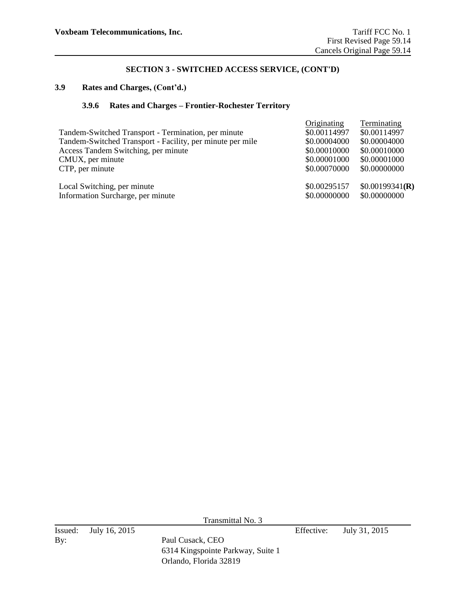### **3.9 Rates and Charges, (Cont'd.)**

## **3.9.6 Rates and Charges – Frontier-Rochester Territory**

| Tandem-Switched Transport - Termination, per minute<br>Tandem-Switched Transport - Facility, per minute per mile<br>Access Tandem Switching, per minute<br>CMUX, per minute<br>CTP, per minute | Originating<br>\$0.00114997<br>\$0.00004000<br>\$0.00010000<br>\$0.00001000<br>\$0.00070000 | Terminating<br>\$0.00114997<br>\$0.00004000<br>\$0.00010000<br>\$0.00001000<br>\$0.00000000 |
|------------------------------------------------------------------------------------------------------------------------------------------------------------------------------------------------|---------------------------------------------------------------------------------------------|---------------------------------------------------------------------------------------------|
| Local Switching, per minute                                                                                                                                                                    | \$0.00295157                                                                                | \$0.00199341(R)                                                                             |
| Information Surcharge, per minute                                                                                                                                                              | \$0.00000000                                                                                | \$0.00000000                                                                                |

Transmittal No. 3

6314 Kingspointe Parkway, Suite 1 Orlando, Florida 32819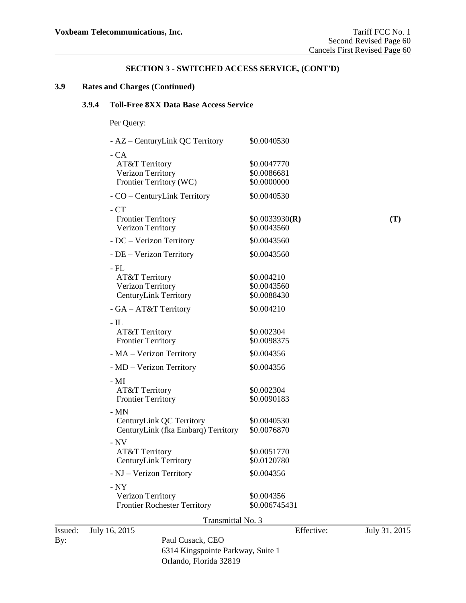## **3.9 Rates and Charges (Continued)**

# **3.9.4 Toll-Free 8XX Data Base Access Service**

Per Query:

|                | - AZ – CenturyLink QC Territory                                                                  | \$0.0040530                               |               |
|----------------|--------------------------------------------------------------------------------------------------|-------------------------------------------|---------------|
|                | $-CA$<br>AT&T Territory<br>Verizon Territory<br>Frontier Territory (WC)                          | \$0.0047770<br>\$0.0086681<br>\$0.0000000 |               |
|                | - CO – CenturyLink Territory                                                                     | \$0.0040530                               |               |
|                | $-CT$<br><b>Frontier Territory</b><br>Verizon Territory                                          | \$0.0033930(R)<br>\$0.0043560             | (T)           |
|                | - DC - Verizon Territory                                                                         | \$0.0043560                               |               |
|                | - DE - Verizon Territory                                                                         | \$0.0043560                               |               |
|                | $-$ FL<br>AT&T Territory<br>Verizon Territory<br><b>CenturyLink Territory</b>                    | \$0.004210<br>\$0.0043560<br>\$0.0088430  |               |
|                | - GA - AT&T Territory                                                                            | \$0.004210                                |               |
|                | - $IL$<br>AT&T Territory<br><b>Frontier Territory</b>                                            | \$0.002304<br>\$0.0098375                 |               |
|                | - MA - Verizon Territory                                                                         | \$0.004356                                |               |
|                | - MD - Verizon Territory                                                                         | \$0.004356                                |               |
|                | - MI<br>AT&T Territory<br><b>Frontier Territory</b>                                              | \$0.002304<br>\$0.0090183                 |               |
|                | $-MN$<br>CenturyLink QC Territory<br>CenturyLink (fka Embarq) Territory                          | \$0.0040530<br>\$0.0076870                |               |
|                | $- NV$<br>AT&T Territory<br><b>CenturyLink Territory</b>                                         | \$0.0051770<br>\$0.0120780                |               |
|                | - NJ - Verizon Territory                                                                         | \$0.004356                                |               |
|                | $- NY$<br>Verizon Territory<br><b>Frontier Rochester Territory</b>                               | \$0.004356<br>\$0.006745431               |               |
|                | Transmittal No. 3                                                                                |                                           |               |
| Issued:<br>By: | July 16, 2015<br>Paul Cusack, CEO<br>6314 Kingspointe Parkway, Suite 1<br>Orlando, Florida 32819 | Effective:                                | July 31, 2015 |
|                |                                                                                                  |                                           |               |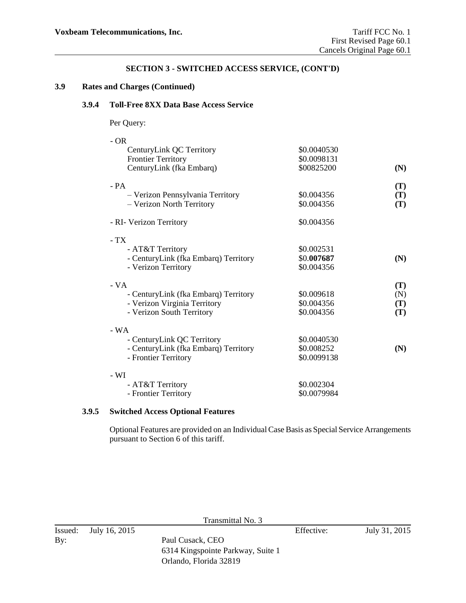## **3.9 Rates and Charges (Continued)**

### **3.9.4 Toll-Free 8XX Data Base Access Service**

Per Query:

| $-OR$                                |             |                |
|--------------------------------------|-------------|----------------|
| CenturyLink QC Territory             | \$0.0040530 |                |
| <b>Frontier Territory</b>            | \$0.0098131 |                |
| CenturyLink (fka Embarq)             | \$00825200  | (N)            |
| $- PA$                               |             | (T)            |
| - Verizon Pennsylvania Territory     | \$0.004356  | $(\mathbf{T})$ |
| - Verizon North Territory            | \$0.004356  | (T)            |
| - RI- Verizon Territory              | \$0.004356  |                |
| $-TX$                                |             |                |
| - AT&T Territory                     | \$0.002531  |                |
| - CenturyLink (fka Embarq) Territory | \$0.007687  | (N)            |
| - Verizon Territory                  | \$0.004356  |                |
| $-VA$                                |             | $(\mathbf{T})$ |
| - CenturyLink (fka Embarq) Territory | \$0.009618  | (N)            |
| - Verizon Virginia Territory         | \$0.004356  | $(\mathbf{T})$ |
| - Verizon South Territory            | \$0.004356  | (T)            |
| $-WA$                                |             |                |
| - CenturyLink QC Territory           | \$0.0040530 |                |
| - CenturyLink (fka Embarq) Territory | \$0.008252  | (N)            |
| - Frontier Territory                 | \$0.0099138 |                |
| $- WI$                               |             |                |
| - AT&T Territory                     | \$0.002304  |                |
| - Frontier Territory                 | \$0.0079984 |                |
|                                      |             |                |

## **3.9.5 Switched Access Optional Features**

Optional Features are provided on an Individual Case Basis as Special Service Arrangements pursuant to Section 6 of this tariff.

| Transmittal No. 3 |               |                                                       |            |               |
|-------------------|---------------|-------------------------------------------------------|------------|---------------|
| Issued:<br>By:    | July 16, 2015 | Paul Cusack, CEO<br>6314 Kingspointe Parkway, Suite 1 | Effective: | July 31, 2015 |
|                   |               | Orlando, Florida 32819                                |            |               |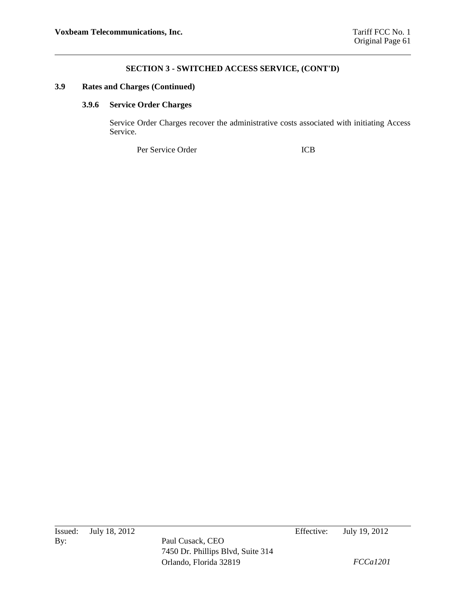## **3.9 Rates and Charges (Continued)**

### **3.9.6 Service Order Charges**

Service Order Charges recover the administrative costs associated with initiating Access Service.

Per Service Order ICB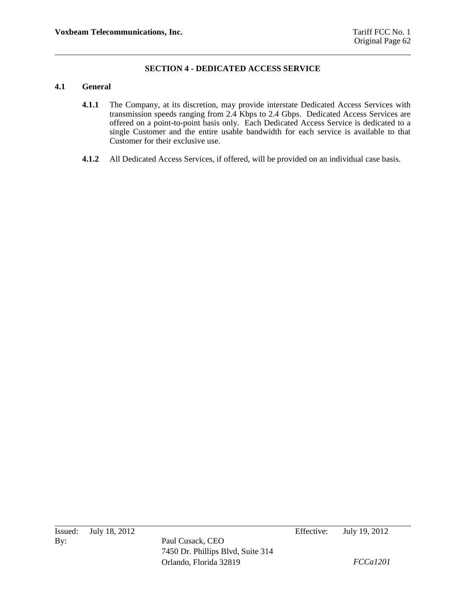## **SECTION 4 - DEDICATED ACCESS SERVICE**

### **4.1 General**

- **4.1.1** The Company, at its discretion, may provide interstate Dedicated Access Services with transmission speeds ranging from 2.4 Kbps to 2.4 Gbps. Dedicated Access Services are offered on a point-to-point basis only. Each Dedicated Access Service is dedicated to a single Customer and the entire usable bandwidth for each service is available to that Customer for their exclusive use.
- **4.1.2** All Dedicated Access Services, if offered, will be provided on an individual case basis.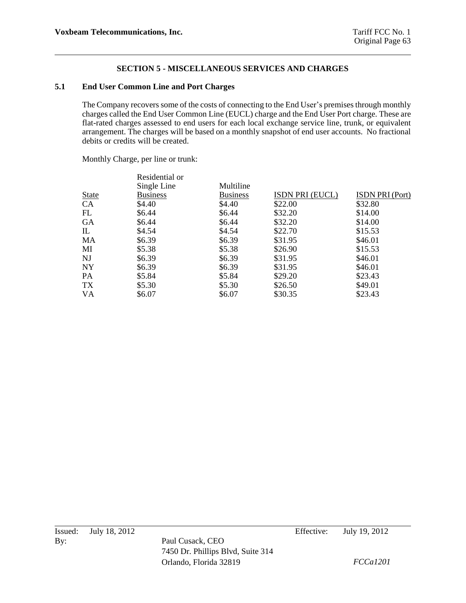#### **5.1 End User Common Line and Port Charges**

The Company recovers some of the costs of connecting to the End User's premises through monthly charges called the End User Common Line (EUCL) charge and the End User Port charge. These are flat-rated charges assessed to end users for each local exchange service line, trunk, or equivalent arrangement. The charges will be based on a monthly snapshot of end user accounts. No fractional debits or credits will be created.

Monthly Charge, per line or trunk:

|              | Residential or  |                 |                 |                        |
|--------------|-----------------|-----------------|-----------------|------------------------|
|              | Single Line     | Multiline       |                 |                        |
| <b>State</b> | <b>Business</b> | <b>Business</b> | ISDN PRI (EUCL) | <b>ISDN PRI (Port)</b> |
| CA           | \$4.40          | \$4.40          | \$22.00         | \$32.80                |
| FL           | \$6.44          | \$6.44          | \$32.20         | \$14.00                |
| <b>GA</b>    | \$6.44          | \$6.44          | \$32.20         | \$14.00                |
| IL           | \$4.54          | \$4.54          | \$22.70         | \$15.53                |
| MA           | \$6.39          | \$6.39          | \$31.95         | \$46.01                |
| MI           | \$5.38          | \$5.38          | \$26.90         | \$15.53                |
| NJ           | \$6.39          | \$6.39          | \$31.95         | \$46.01                |
| <b>NY</b>    | \$6.39          | \$6.39          | \$31.95         | \$46.01                |
| <b>PA</b>    | \$5.84          | \$5.84          | \$29.20         | \$23.43                |
| TX           | \$5.30          | \$5.30          | \$26.50         | \$49.01                |
| VA           | \$6.07          | \$6.07          | \$30.35         | \$23.43                |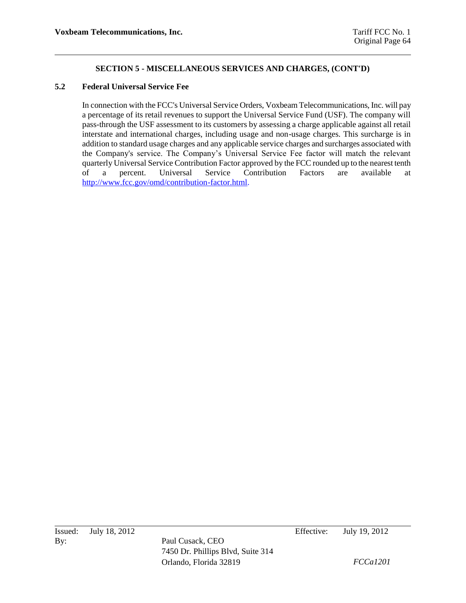### **5.2 Federal Universal Service Fee**

In connection with the FCC's Universal Service Orders, Voxbeam Telecommunications, Inc. will pay a percentage of its retail revenues to support the Universal Service Fund (USF). The company will pass-through the USF assessment to its customers by assessing a charge applicable against all retail interstate and international charges, including usage and non-usage charges. This surcharge is in addition to standard usage charges and any applicable service charges and surcharges associated with the Company's service. The Company's Universal Service Fee factor will match the relevant quarterly Universal Service Contribution Factor approved by the FCC rounded up to the nearest tenth of a percent. Universal Service Contribution Factors are available at [http://www.fcc.gov/omd/contribution-factor.html.](http://www.fcc.gov/omd/contribution-factor.html)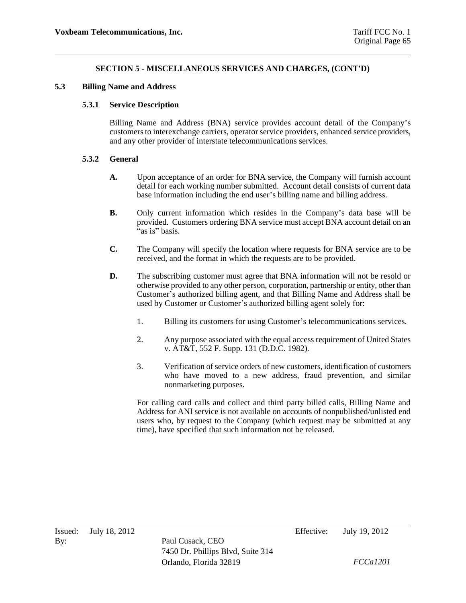#### **5.3 Billing Name and Address**

## **5.3.1 Service Description**

Billing Name and Address (BNA) service provides account detail of the Company's customers to interexchange carriers, operator service providers, enhanced service providers, and any other provider of interstate telecommunications services.

### **5.3.2 General**

- **A.** Upon acceptance of an order for BNA service, the Company will furnish account detail for each working number submitted. Account detail consists of current data base information including the end user's billing name and billing address.
- **B.** Only current information which resides in the Company's data base will be provided. Customers ordering BNA service must accept BNA account detail on an  $\lambda$ as is" basis.
- **C.** The Company will specify the location where requests for BNA service are to be received, and the format in which the requests are to be provided.
- **D.** The subscribing customer must agree that BNA information will not be resold or otherwise provided to any other person, corporation, partnership or entity, other than Customer's authorized billing agent, and that Billing Name and Address shall be used by Customer or Customer's authorized billing agent solely for:
	- 1. Billing its customers for using Customer's telecommunications services.
	- 2. Any purpose associated with the equal access requirement of United States v. AT&T, 552 F. Supp. 131 (D.D.C. 1982).
	- 3. Verification of service orders of new customers, identification of customers who have moved to a new address, fraud prevention, and similar nonmarketing purposes.

For calling card calls and collect and third party billed calls, Billing Name and Address for ANI service is not available on accounts of nonpublished/unlisted end users who, by request to the Company (which request may be submitted at any time), have specified that such information not be released.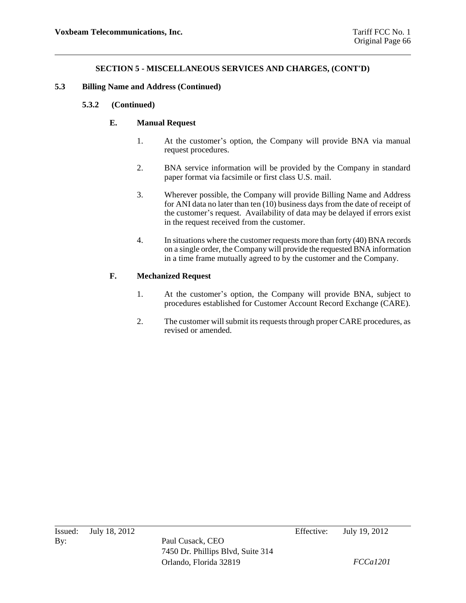#### **5.3 Billing Name and Address (Continued)**

### **5.3.2 (Continued)**

## **E. Manual Request**

- 1. At the customer's option, the Company will provide BNA via manual request procedures.
- 2. BNA service information will be provided by the Company in standard paper format via facsimile or first class U.S. mail.
- 3. Wherever possible, the Company will provide Billing Name and Address for ANI data no later than ten (10) business days from the date of receipt of the customer's request. Availability of data may be delayed if errors exist in the request received from the customer.
- 4. In situations where the customer requests more than forty (40) BNA records on a single order, the Company will provide the requested BNA information in a time frame mutually agreed to by the customer and the Company.

## **F. Mechanized Request**

- 1. At the customer's option, the Company will provide BNA, subject to procedures established for Customer Account Record Exchange (CARE).
- 2. The customer will submit its requests through proper CARE procedures, as revised or amended.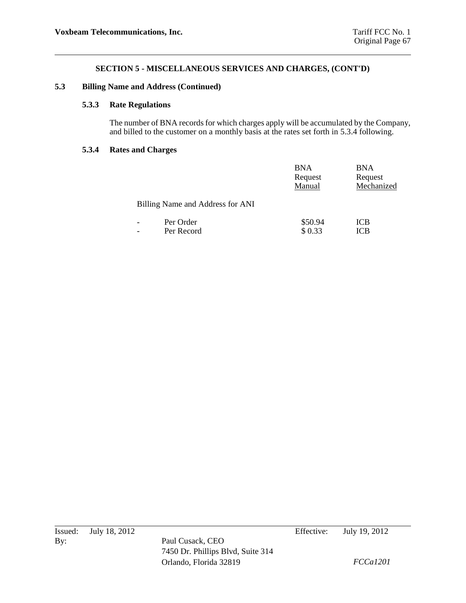#### **5.3 Billing Name and Address (Continued)**

## **5.3.3 Rate Regulations**

The number of BNA records for which charges apply will be accumulated by the Company, and billed to the customer on a monthly basis at the rates set forth in 5.3.4 following.

#### **5.3.4 Rates and Charges**

|                                  | <b>BNA</b><br>Request<br>Manual | <b>BNA</b><br>Request<br>Mechanized |
|----------------------------------|---------------------------------|-------------------------------------|
| Billing Name and Address for ANI |                                 |                                     |
| Per Order<br>Per Record          | \$50.94<br>\$0.33               | ICB<br>ICB                          |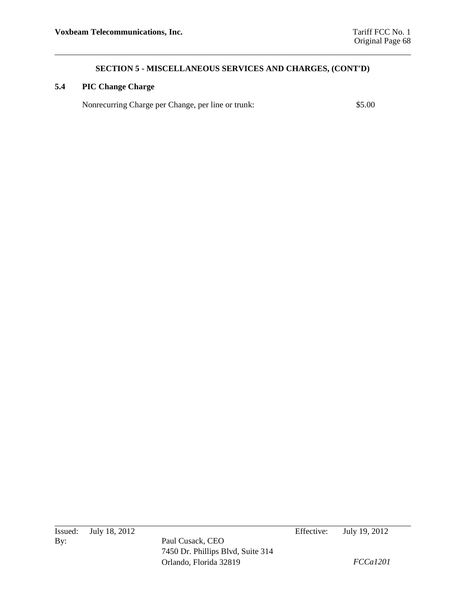# **5.4 PIC Change Charge**

Nonrecurring Charge per Change, per line or trunk: \$5.00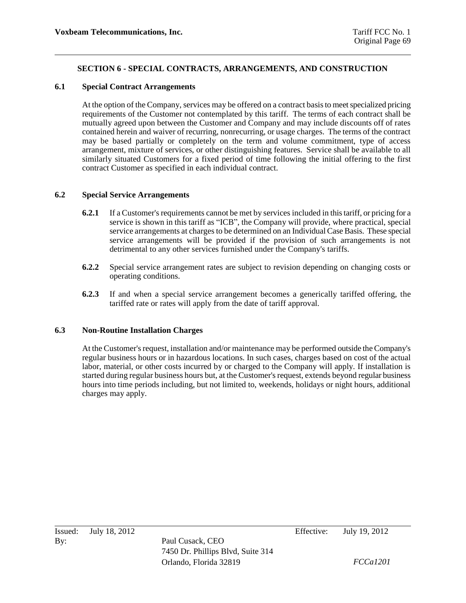## **SECTION 6 - SPECIAL CONTRACTS, ARRANGEMENTS, AND CONSTRUCTION**

#### **6.1 Special Contract Arrangements**

At the option of the Company, services may be offered on a contract basis to meet specialized pricing requirements of the Customer not contemplated by this tariff. The terms of each contract shall be mutually agreed upon between the Customer and Company and may include discounts off of rates contained herein and waiver of recurring, nonrecurring, or usage charges. The terms of the contract may be based partially or completely on the term and volume commitment, type of access arrangement, mixture of services, or other distinguishing features. Service shall be available to all similarly situated Customers for a fixed period of time following the initial offering to the first contract Customer as specified in each individual contract.

### **6.2 Special Service Arrangements**

- **6.2.1** If a Customer's requirements cannot be met by services included in this tariff, or pricing for a service is shown in this tariff as "ICB", the Company will provide, where practical, special service arrangements at charges to be determined on an Individual Case Basis. These special service arrangements will be provided if the provision of such arrangements is not detrimental to any other services furnished under the Company's tariffs.
- **6.2.2** Special service arrangement rates are subject to revision depending on changing costs or operating conditions.
- **6.2.3** If and when a special service arrangement becomes a generically tariffed offering, the tariffed rate or rates will apply from the date of tariff approval.

### **6.3 Non-Routine Installation Charges**

At the Customer's request, installation and/or maintenance may be performed outside the Company's regular business hours or in hazardous locations. In such cases, charges based on cost of the actual labor, material, or other costs incurred by or charged to the Company will apply. If installation is started during regular business hours but, at the Customer's request, extends beyond regular business hours into time periods including, but not limited to, weekends, holidays or night hours, additional charges may apply.